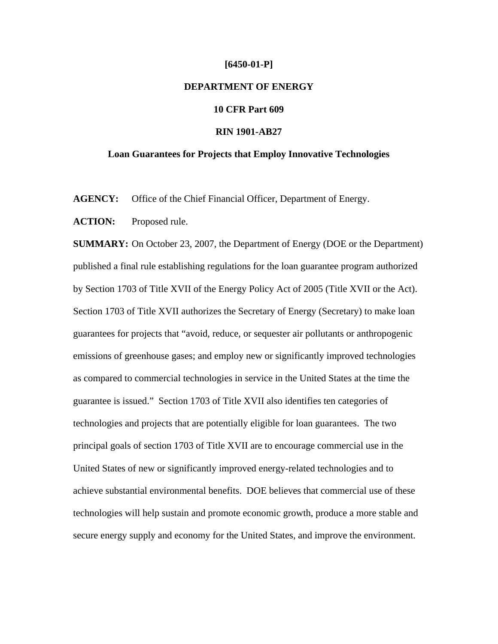#### **[6450-01-P]**

# **DEPARTMENT OF ENERGY**

# **10 CFR Part 609**

# **RIN 1901-AB27**

### **Loan Guarantees for Projects that Employ Innovative Technologies**

AGENCY: Office of the Chief Financial Officer, Department of Energy.

**ACTION:** Proposed rule.

**SUMMARY:** On October 23, 2007, the Department of Energy (DOE or the Department) published a final rule establishing regulations for the loan guarantee program authorized by Section 1703 of Title XVII of the Energy Policy Act of 2005 (Title XVII or the Act). Section 1703 of Title XVII authorizes the Secretary of Energy (Secretary) to make loan guarantees for projects that "avoid, reduce, or sequester air pollutants or anthropogenic emissions of greenhouse gases; and employ new or significantly improved technologies as compared to commercial technologies in service in the United States at the time the guarantee is issued." Section 1703 of Title XVII also identifies ten categories of technologies and projects that are potentially eligible for loan guarantees. The two principal goals of section 1703 of Title XVII are to encourage commercial use in the United States of new or significantly improved energy-related technologies and to achieve substantial environmental benefits. DOE believes that commercial use of these technologies will help sustain and promote economic growth, produce a more stable and secure energy supply and economy for the United States, and improve the environment.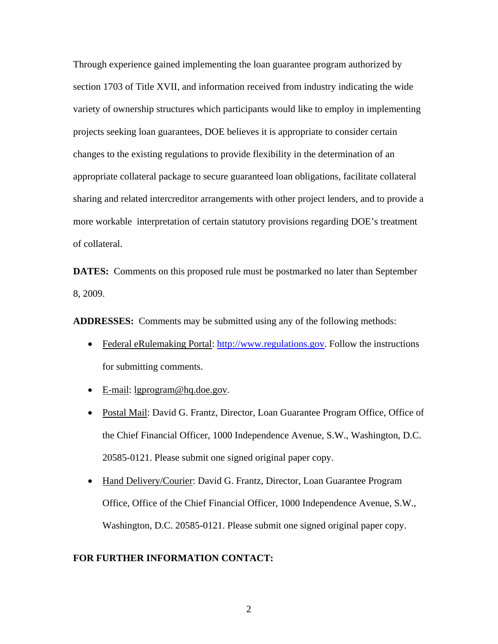Through experience gained implementing the loan guarantee program authorized by section 1703 of Title XVII, and information received from industry indicating the wide variety of ownership structures which participants would like to employ in implementing projects seeking loan guarantees, DOE believes it is appropriate to consider certain changes to the existing regulations to provide flexibility in the determination of an appropriate collateral package to secure guaranteed loan obligations, facilitate collateral sharing and related intercreditor arrangements with other project lenders, and to provide a more workable interpretation of certain statutory provisions regarding DOE's treatment of collateral.

**DATES:** Comments on this proposed rule must be postmarked no later than September 8, 2009.

**ADDRESSES:** Comments may be submitted using any of the following methods:

- Federal eRulemaking Portal: http://www.regulations.gov. Follow the instructions for submitting comments.
- E-mail: lgprogram@hq.doe.gov.
- Postal Mail: David G. Frantz, Director, Loan Guarantee Program Office, Office of the Chief Financial Officer, 1000 Independence Avenue, S.W., Washington, D.C. 20585-0121. Please submit one signed original paper copy.
- Hand Delivery/Courier: David G. Frantz, Director, Loan Guarantee Program Office, Office of the Chief Financial Officer, 1000 Independence Avenue, S.W., Washington, D.C. 20585-0121. Please submit one signed original paper copy.

### **FOR FURTHER INFORMATION CONTACT:**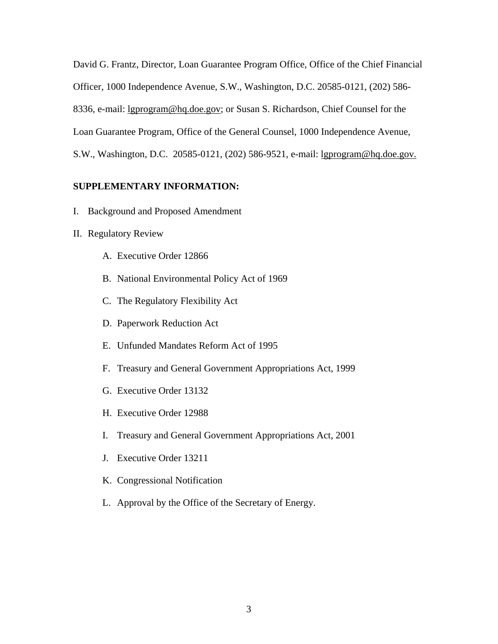David G. Frantz, Director, Loan Guarantee Program Office, Office of the Chief Financial Officer, 1000 Independence Avenue, S.W., Washington, D.C. 20585-0121, (202) 586- 8336, e-mail: lgprogram@hq.doe.gov; or Susan S. Richardson, Chief Counsel for the Loan Guarantee Program, Office of the General Counsel, 1000 Independence Avenue, S.W., Washington, D.C. 20585-0121, (202) 586-9521, e-mail: lgprogram@hq.doe.gov.

# **SUPPLEMENTARY INFORMATION:**

- I. Background and Proposed Amendment
- II. Regulatory Review
	- A. Executive Order 12866
	- B. National Environmental Policy Act of 1969
	- C. The Regulatory Flexibility Act
	- D. Paperwork Reduction Act
	- E. Unfunded Mandates Reform Act of 1995
	- F. Treasury and General Government Appropriations Act, 1999
	- G. Executive Order 13132
	- H. Executive Order 12988
	- I. Treasury and General Government Appropriations Act, 2001
	- J. Executive Order 13211
	- K. Congressional Notification
	- L. Approval by the Office of the Secretary of Energy.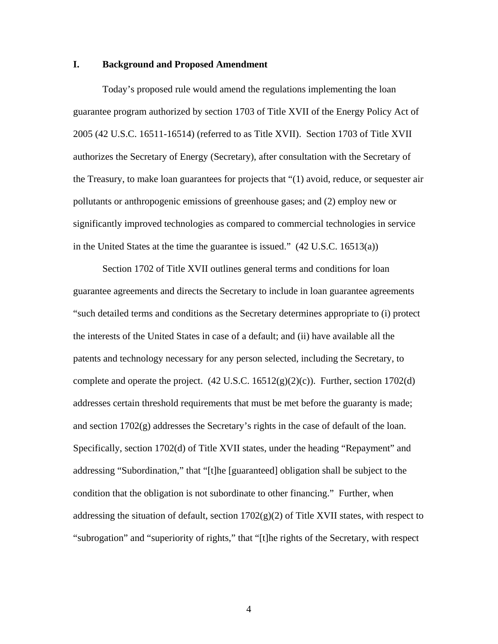# **I. Background and Proposed Amendment**

Today's proposed rule would amend the regulations implementing the loan guarantee program authorized by section 1703 of Title XVII of the Energy Policy Act of 2005 (42 U.S.C. 16511-16514) (referred to as Title XVII). Section 1703 of Title XVII authorizes the Secretary of Energy (Secretary), after consultation with the Secretary of the Treasury, to make loan guarantees for projects that "(1) avoid, reduce, or sequester air pollutants or anthropogenic emissions of greenhouse gases; and (2) employ new or significantly improved technologies as compared to commercial technologies in service in the United States at the time the guarantee is issued." (42 U.S.C. 16513(a))

Section 1702 of Title XVII outlines general terms and conditions for loan guarantee agreements and directs the Secretary to include in loan guarantee agreements "such detailed terms and conditions as the Secretary determines appropriate to (i) protect the interests of the United States in case of a default; and (ii) have available all the patents and technology necessary for any person selected, including the Secretary, to complete and operate the project.  $(42 \text{ U.S.C. } 16512(g)(2)(c))$ . Further, section 1702(d) addresses certain threshold requirements that must be met before the guaranty is made; and section 1702(g) addresses the Secretary's rights in the case of default of the loan. Specifically, section 1702(d) of Title XVII states, under the heading "Repayment" and addressing "Subordination," that "[t]he [guaranteed] obligation shall be subject to the condition that the obligation is not subordinate to other financing." Further, when addressing the situation of default, section  $1702(g)(2)$  of Title XVII states, with respect to "subrogation" and "superiority of rights," that "[t]he rights of the Secretary, with respect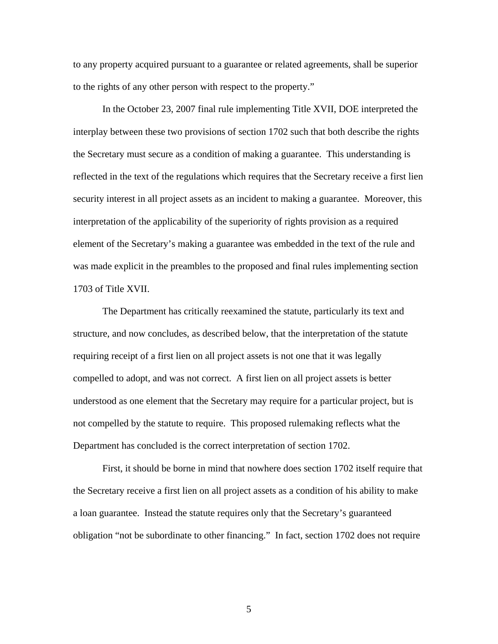to any property acquired pursuant to a guarantee or related agreements, shall be superior to the rights of any other person with respect to the property."

In the October 23, 2007 final rule implementing Title XVII, DOE interpreted the interplay between these two provisions of section 1702 such that both describe the rights the Secretary must secure as a condition of making a guarantee. This understanding is reflected in the text of the regulations which requires that the Secretary receive a first lien security interest in all project assets as an incident to making a guarantee. Moreover, this interpretation of the applicability of the superiority of rights provision as a required element of the Secretary's making a guarantee was embedded in the text of the rule and was made explicit in the preambles to the proposed and final rules implementing section 1703 of Title XVII.

The Department has critically reexamined the statute, particularly its text and structure, and now concludes, as described below, that the interpretation of the statute requiring receipt of a first lien on all project assets is not one that it was legally compelled to adopt, and was not correct. A first lien on all project assets is better understood as one element that the Secretary may require for a particular project, but is not compelled by the statute to require. This proposed rulemaking reflects what the Department has concluded is the correct interpretation of section 1702.

First, it should be borne in mind that nowhere does section 1702 itself require that the Secretary receive a first lien on all project assets as a condition of his ability to make a loan guarantee. Instead the statute requires only that the Secretary's guaranteed obligation "not be subordinate to other financing." In fact, section 1702 does not require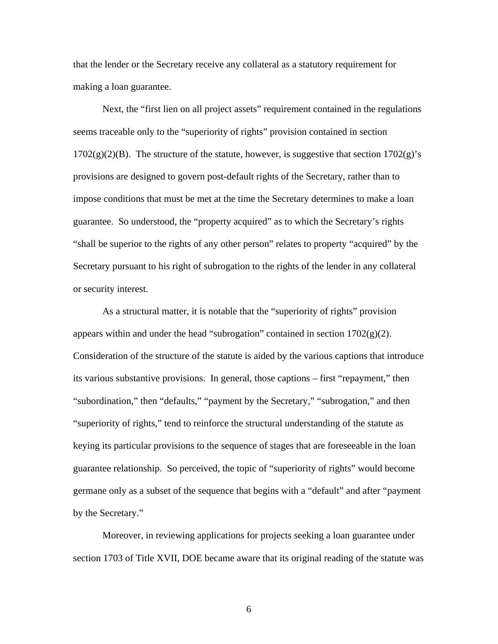that the lender or the Secretary receive any collateral as a statutory requirement for making a loan guarantee.

Next, the "first lien on all project assets" requirement contained in the regulations seems traceable only to the "superiority of rights" provision contained in section  $1702(g)(2)(B)$ . The structure of the statute, however, is suggestive that section  $1702(g)$ 's provisions are designed to govern post-default rights of the Secretary, rather than to impose conditions that must be met at the time the Secretary determines to make a loan guarantee. So understood, the "property acquired" as to which the Secretary's rights "shall be superior to the rights of any other person" relates to property "acquired" by the Secretary pursuant to his right of subrogation to the rights of the lender in any collateral or security interest.

As a structural matter, it is notable that the "superiority of rights" provision appears within and under the head "subrogation" contained in section  $1702(g)(2)$ . Consideration of the structure of the statute is aided by the various captions that introduce its various substantive provisions. In general, those captions – first "repayment," then "subordination," then "defaults," "payment by the Secretary," "subrogation," and then "superiority of rights," tend to reinforce the structural understanding of the statute as keying its particular provisions to the sequence of stages that are foreseeable in the loan guarantee relationship. So perceived, the topic of "superiority of rights" would become germane only as a subset of the sequence that begins with a "default" and after "payment by the Secretary."

Moreover, in reviewing applications for projects seeking a loan guarantee under section 1703 of Title XVII, DOE became aware that its original reading of the statute was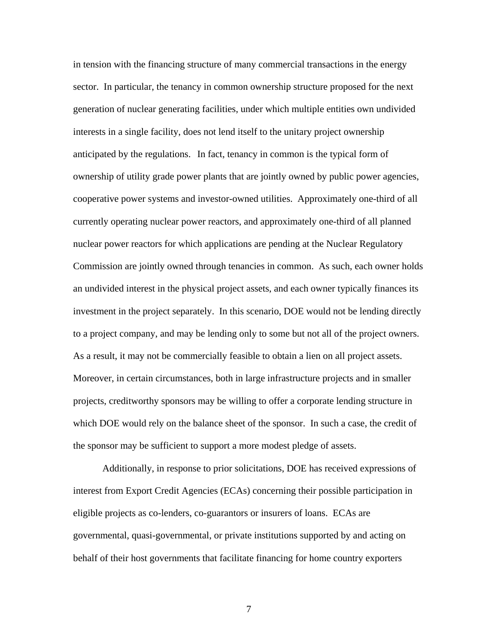in tension with the financing structure of many commercial transactions in the energy sector. In particular, the tenancy in common ownership structure proposed for the next generation of nuclear generating facilities, under which multiple entities own undivided interests in a single facility, does not lend itself to the unitary project ownership anticipated by the regulations.In fact, tenancy in common is the typical form of ownership of utility grade power plants that are jointly owned by public power agencies, cooperative power systems and investor-owned utilities. Approximately one-third of all currently operating nuclear power reactors, and approximately one-third of all planned nuclear power reactors for which applications are pending at the Nuclear Regulatory Commission are jointly owned through tenancies in common. As such, each owner holds an undivided interest in the physical project assets, and each owner typically finances its investment in the project separately. In this scenario, DOE would not be lending directly to a project company, and may be lending only to some but not all of the project owners. As a result, it may not be commercially feasible to obtain a lien on all project assets. Moreover, in certain circumstances, both in large infrastructure projects and in smaller projects, creditworthy sponsors may be willing to offer a corporate lending structure in which DOE would rely on the balance sheet of the sponsor. In such a case, the credit of the sponsor may be sufficient to support a more modest pledge of assets.

Additionally, in response to prior solicitations, DOE has received expressions of interest from Export Credit Agencies (ECAs) concerning their possible participation in eligible projects as co-lenders, co-guarantors or insurers of loans. ECAs are governmental, quasi-governmental, or private institutions supported by and acting on behalf of their host governments that facilitate financing for home country exporters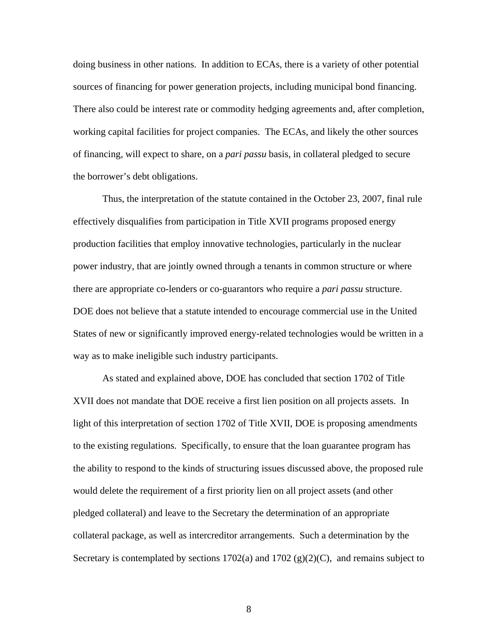doing business in other nations. In addition to ECAs, there is a variety of other potential sources of financing for power generation projects, including municipal bond financing. There also could be interest rate or commodity hedging agreements and, after completion, working capital facilities for project companies. The ECAs, and likely the other sources of financing, will expect to share, on a *pari passu* basis, in collateral pledged to secure the borrower's debt obligations.

Thus, the interpretation of the statute contained in the October 23, 2007, final rule effectively disqualifies from participation in Title XVII programs proposed energy production facilities that employ innovative technologies, particularly in the nuclear power industry, that are jointly owned through a tenants in common structure or where there are appropriate co-lenders or co-guarantors who require a *pari passu* structure. DOE does not believe that a statute intended to encourage commercial use in the United States of new or significantly improved energy-related technologies would be written in a way as to make ineligible such industry participants.

As stated and explained above, DOE has concluded that section 1702 of Title XVII does not mandate that DOE receive a first lien position on all projects assets. In light of this interpretation of section 1702 of Title XVII, DOE is proposing amendments to the existing regulations. Specifically, to ensure that the loan guarantee program has the ability to respond to the kinds of structuring issues discussed above, the proposed rule would delete the requirement of a first priority lien on all project assets (and other pledged collateral) and leave to the Secretary the determination of an appropriate collateral package, as well as intercreditor arrangements. Such a determination by the Secretary is contemplated by sections  $1702(a)$  and  $1702(g)(2)(C)$ , and remains subject to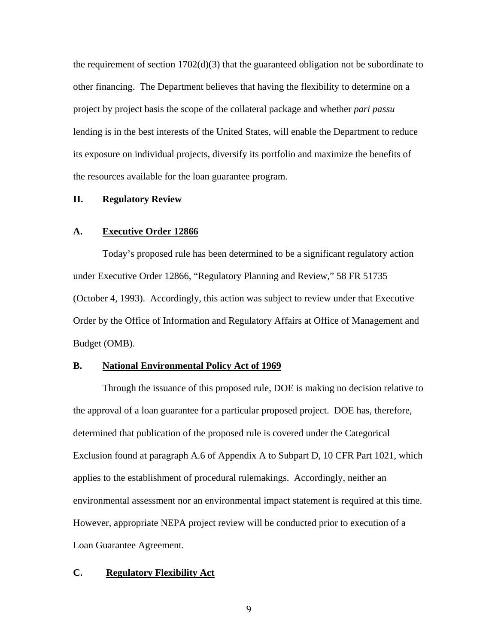the requirement of section  $1702(d)(3)$  that the guaranteed obligation not be subordinate to other financing. The Department believes that having the flexibility to determine on a project by project basis the scope of the collateral package and whether *pari passu* lending is in the best interests of the United States, will enable the Department to reduce its exposure on individual projects, diversify its portfolio and maximize the benefits of the resources available for the loan guarantee program.

### **II. Regulatory Review**

# **A. Executive Order 12866**

Today's proposed rule has been determined to be a significant regulatory action under Executive Order 12866, "Regulatory Planning and Review," 58 FR 51735 (October 4, 1993). Accordingly, this action was subject to review under that Executive Order by the Office of Information and Regulatory Affairs at Office of Management and Budget (OMB).

# **B. National Environmental Policy Act of 1969**

Through the issuance of this proposed rule, DOE is making no decision relative to the approval of a loan guarantee for a particular proposed project. DOE has, therefore, determined that publication of the proposed rule is covered under the Categorical Exclusion found at paragraph A.6 of Appendix A to Subpart D, 10 CFR Part 1021, which applies to the establishment of procedural rulemakings. Accordingly, neither an environmental assessment nor an environmental impact statement is required at this time. However, appropriate NEPA project review will be conducted prior to execution of a Loan Guarantee Agreement.

# **C. Regulatory Flexibility Act**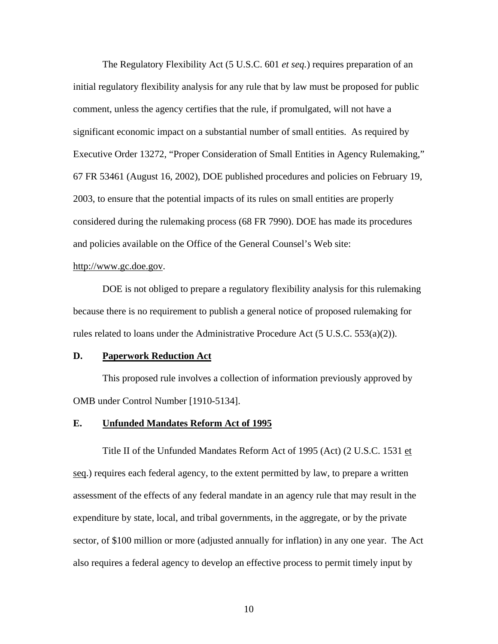The Regulatory Flexibility Act (5 U.S.C. 601 *et seq.*) requires preparation of an initial regulatory flexibility analysis for any rule that by law must be proposed for public comment, unless the agency certifies that the rule, if promulgated, will not have a significant economic impact on a substantial number of small entities. As required by Executive Order 13272, "Proper Consideration of Small Entities in Agency Rulemaking," 67 FR 53461 (August 16, 2002), DOE published procedures and policies on February 19, 2003, to ensure that the potential impacts of its rules on small entities are properly considered during the rulemaking process (68 FR 7990). DOE has made its procedures and policies available on the Office of the General Counsel's Web site:

# http://www.gc.doe.gov.

DOE is not obliged to prepare a regulatory flexibility analysis for this rulemaking because there is no requirement to publish a general notice of proposed rulemaking for rules related to loans under the Administrative Procedure Act  $(5 \text{ U.S.C. } 553(a)(2))$ .

# **D. Paperwork Reduction Act**

This proposed rule involves a collection of information previously approved by OMB under Control Number [1910-5134].

### **E. Unfunded Mandates Reform Act of 1995**

 Title II of the Unfunded Mandates Reform Act of 1995 (Act) (2 U.S.C. 1531 et seq.) requires each federal agency, to the extent permitted by law, to prepare a written assessment of the effects of any federal mandate in an agency rule that may result in the expenditure by state, local, and tribal governments, in the aggregate, or by the private sector, of \$100 million or more (adjusted annually for inflation) in any one year. The Act also requires a federal agency to develop an effective process to permit timely input by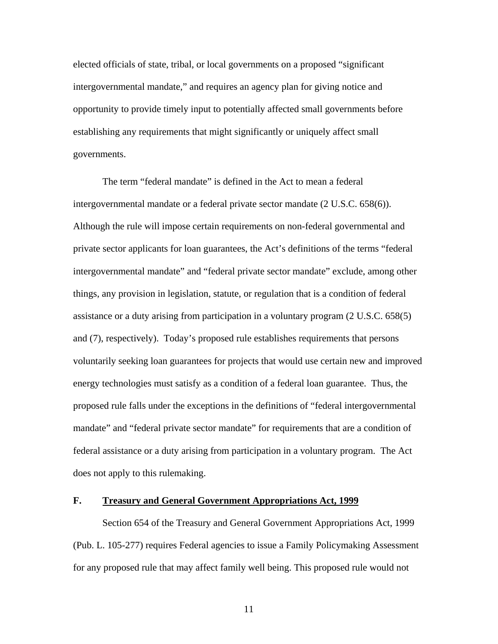elected officials of state, tribal, or local governments on a proposed "significant intergovernmental mandate," and requires an agency plan for giving notice and opportunity to provide timely input to potentially affected small governments before establishing any requirements that might significantly or uniquely affect small governments.

 The term "federal mandate" is defined in the Act to mean a federal intergovernmental mandate or a federal private sector mandate (2 U.S.C. 658(6)). Although the rule will impose certain requirements on non-federal governmental and private sector applicants for loan guarantees, the Act's definitions of the terms "federal intergovernmental mandate" and "federal private sector mandate" exclude, among other things, any provision in legislation, statute, or regulation that is a condition of federal assistance or a duty arising from participation in a voluntary program (2 U.S.C. 658(5) and (7), respectively). Today's proposed rule establishes requirements that persons voluntarily seeking loan guarantees for projects that would use certain new and improved energy technologies must satisfy as a condition of a federal loan guarantee. Thus, the proposed rule falls under the exceptions in the definitions of "federal intergovernmental mandate" and "federal private sector mandate" for requirements that are a condition of federal assistance or a duty arising from participation in a voluntary program. The Act does not apply to this rulemaking.

## **F. Treasury and General Government Appropriations Act, 1999**

Section 654 of the Treasury and General Government Appropriations Act, 1999 (Pub. L. 105-277) requires Federal agencies to issue a Family Policymaking Assessment for any proposed rule that may affect family well being. This proposed rule would not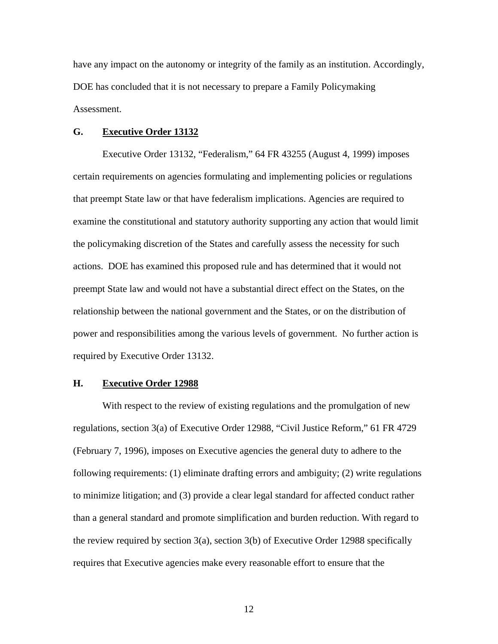have any impact on the autonomy or integrity of the family as an institution. Accordingly, DOE has concluded that it is not necessary to prepare a Family Policymaking Assessment.

### **G. Executive Order 13132**

Executive Order 13132, "Federalism," 64 FR 43255 (August 4, 1999) imposes certain requirements on agencies formulating and implementing policies or regulations that preempt State law or that have federalism implications. Agencies are required to examine the constitutional and statutory authority supporting any action that would limit the policymaking discretion of the States and carefully assess the necessity for such actions. DOE has examined this proposed rule and has determined that it would not preempt State law and would not have a substantial direct effect on the States, on the relationship between the national government and the States, or on the distribution of power and responsibilities among the various levels of government. No further action is required by Executive Order 13132.

### **H. Executive Order 12988**

With respect to the review of existing regulations and the promulgation of new regulations, section 3(a) of Executive Order 12988, "Civil Justice Reform," 61 FR 4729 (February 7, 1996), imposes on Executive agencies the general duty to adhere to the following requirements: (1) eliminate drafting errors and ambiguity; (2) write regulations to minimize litigation; and (3) provide a clear legal standard for affected conduct rather than a general standard and promote simplification and burden reduction. With regard to the review required by section  $3(a)$ , section  $3(b)$  of Executive Order 12988 specifically requires that Executive agencies make every reasonable effort to ensure that the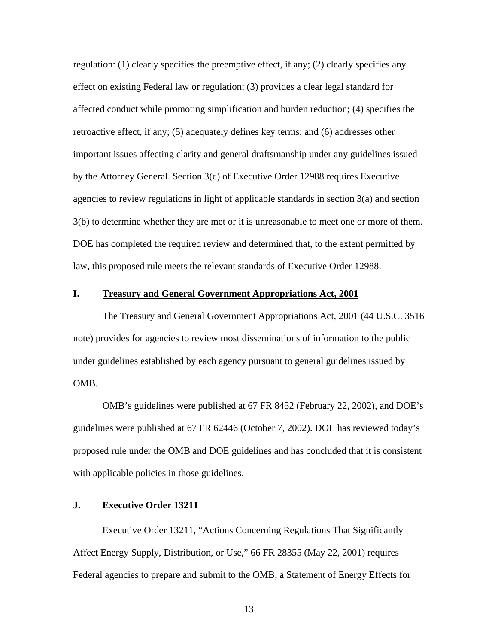regulation: (1) clearly specifies the preemptive effect, if any; (2) clearly specifies any effect on existing Federal law or regulation; (3) provides a clear legal standard for affected conduct while promoting simplification and burden reduction; (4) specifies the retroactive effect, if any; (5) adequately defines key terms; and (6) addresses other important issues affecting clarity and general draftsmanship under any guidelines issued by the Attorney General. Section 3(c) of Executive Order 12988 requires Executive agencies to review regulations in light of applicable standards in section 3(a) and section 3(b) to determine whether they are met or it is unreasonable to meet one or more of them. DOE has completed the required review and determined that, to the extent permitted by law, this proposed rule meets the relevant standards of Executive Order 12988.

## **I. Treasury and General Government Appropriations Act, 2001**

The Treasury and General Government Appropriations Act, 2001 (44 U.S.C. 3516 note) provides for agencies to review most disseminations of information to the public under guidelines established by each agency pursuant to general guidelines issued by OMB.

OMB's guidelines were published at 67 FR 8452 (February 22, 2002), and DOE's guidelines were published at 67 FR 62446 (October 7, 2002). DOE has reviewed today's proposed rule under the OMB and DOE guidelines and has concluded that it is consistent with applicable policies in those guidelines.

# **J. Executive Order 13211**

Executive Order 13211, "Actions Concerning Regulations That Significantly Affect Energy Supply, Distribution, or Use," 66 FR 28355 (May 22, 2001) requires Federal agencies to prepare and submit to the OMB, a Statement of Energy Effects for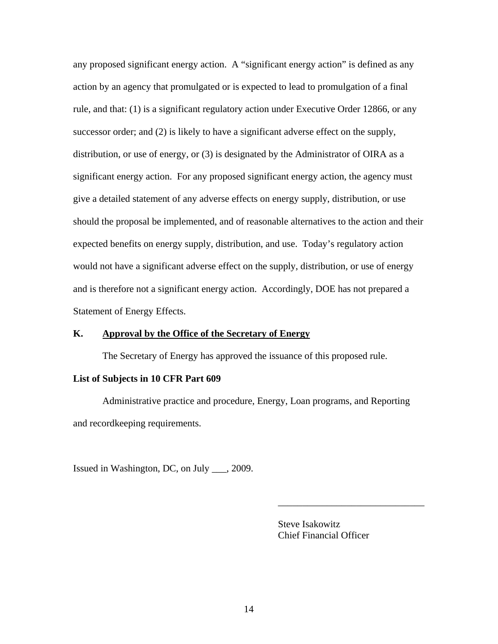any proposed significant energy action. A "significant energy action" is defined as any action by an agency that promulgated or is expected to lead to promulgation of a final rule, and that: (1) is a significant regulatory action under Executive Order 12866, or any successor order; and (2) is likely to have a significant adverse effect on the supply, distribution, or use of energy, or (3) is designated by the Administrator of OIRA as a significant energy action. For any proposed significant energy action, the agency must give a detailed statement of any adverse effects on energy supply, distribution, or use should the proposal be implemented, and of reasonable alternatives to the action and their expected benefits on energy supply, distribution, and use. Today's regulatory action would not have a significant adverse effect on the supply, distribution, or use of energy and is therefore not a significant energy action. Accordingly, DOE has not prepared a Statement of Energy Effects.

# **K. Approval by the Office of the Secretary of Energy**

The Secretary of Energy has approved the issuance of this proposed rule.

### **List of Subjects in 10 CFR Part 609**

Administrative practice and procedure, Energy, Loan programs, and Reporting and recordkeeping requirements.

Issued in Washington, DC, on July \_\_\_, 2009.

 Steve Isakowitz Chief Financial Officer

\_\_\_\_\_\_\_\_\_\_\_\_\_\_\_\_\_\_\_\_\_\_\_\_\_\_\_\_\_\_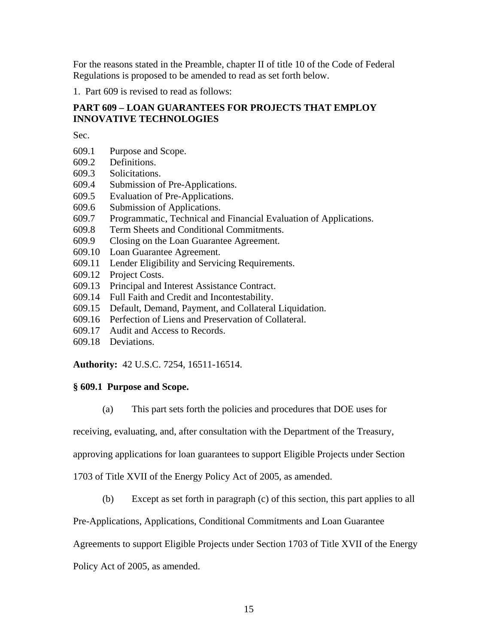For the reasons stated in the Preamble, chapter II of title 10 of the Code of Federal Regulations is proposed to be amended to read as set forth below.

1. Part 609 is revised to read as follows:

# **PART 609 – LOAN GUARANTEES FOR PROJECTS THAT EMPLOY INNOVATIVE TECHNOLOGIES**

Sec.

- 609.1 Purpose and Scope.
- 609.2 Definitions.
- 609.3 Solicitations.
- 609.4 Submission of Pre-Applications.
- 609.5 Evaluation of Pre-Applications.
- 609.6 Submission of Applications.
- 609.7 Programmatic, Technical and Financial Evaluation of Applications.
- 609.8 Term Sheets and Conditional Commitments.
- 609.9 Closing on the Loan Guarantee Agreement.
- 609.10 Loan Guarantee Agreement.
- 609.11 Lender Eligibility and Servicing Requirements.
- 609.12 Project Costs.
- 609.13 Principal and Interest Assistance Contract.
- 609.14 Full Faith and Credit and Incontestability.
- 609.15 Default, Demand, Payment, and Collateral Liquidation.
- 609.16 Perfection of Liens and Preservation of Collateral.
- 609.17 Audit and Access to Records.
- 609.18 Deviations.

**Authority:** 42 U.S.C. 7254, 16511-16514.

# **§ 609.1 Purpose and Scope.**

(a) This part sets forth the policies and procedures that DOE uses for

receiving, evaluating, and, after consultation with the Department of the Treasury,

approving applications for loan guarantees to support Eligible Projects under Section

1703 of Title XVII of the Energy Policy Act of 2005, as amended.

(b) Except as set forth in paragraph (c) of this section, this part applies to all

Pre-Applications, Applications, Conditional Commitments and Loan Guarantee

Agreements to support Eligible Projects under Section 1703 of Title XVII of the Energy

Policy Act of 2005, as amended.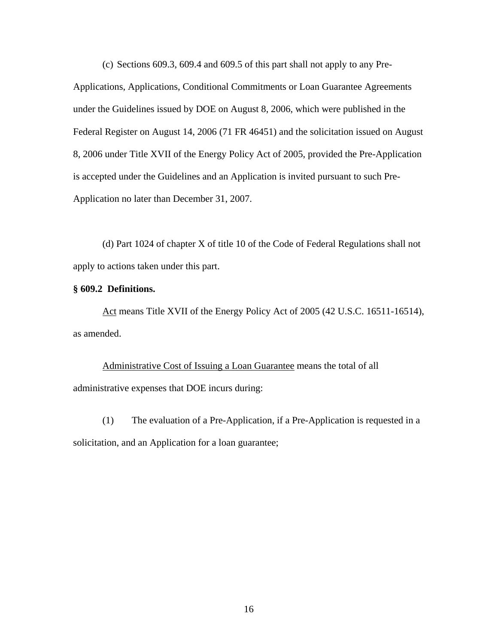(c) Sections 609.3, 609.4 and 609.5 of this part shall not apply to any Pre-Applications, Applications, Conditional Commitments or Loan Guarantee Agreements under the Guidelines issued by DOE on August 8, 2006, which were published in the Federal Register on August 14, 2006 (71 FR 46451) and the solicitation issued on August 8, 2006 under Title XVII of the Energy Policy Act of 2005, provided the Pre-Application is accepted under the Guidelines and an Application is invited pursuant to such Pre-Application no later than December 31, 2007.

(d) Part 1024 of chapter X of title 10 of the Code of Federal Regulations shall not apply to actions taken under this part.

### **§ 609.2 Definitions.**

Act means Title XVII of the Energy Policy Act of 2005 (42 U.S.C. 16511-16514), as amended.

Administrative Cost of Issuing a Loan Guarantee means the total of all administrative expenses that DOE incurs during:

(1) The evaluation of a Pre-Application, if a Pre-Application is requested in a solicitation, and an Application for a loan guarantee;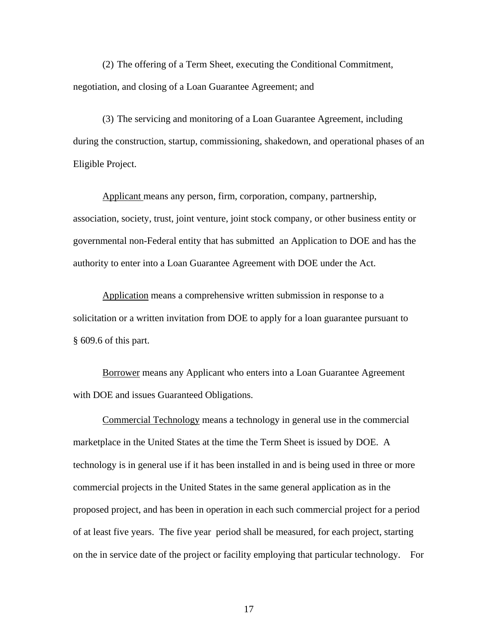(2) The offering of a Term Sheet, executing the Conditional Commitment, negotiation, and closing of a Loan Guarantee Agreement; and

(3) The servicing and monitoring of a Loan Guarantee Agreement, including during the construction, startup, commissioning, shakedown, and operational phases of an Eligible Project.

Applicant means any person, firm, corporation, company, partnership, association, society, trust, joint venture, joint stock company, or other business entity or governmental non-Federal entity that has submitted an Application to DOE and has the authority to enter into a Loan Guarantee Agreement with DOE under the Act.

Application means a comprehensive written submission in response to a solicitation or a written invitation from DOE to apply for a loan guarantee pursuant to § 609.6 of this part.

Borrower means any Applicant who enters into a Loan Guarantee Agreement with DOE and issues Guaranteed Obligations.

 Commercial Technology means a technology in general use in the commercial marketplace in the United States at the time the Term Sheet is issued by DOE. A technology is in general use if it has been installed in and is being used in three or more commercial projects in the United States in the same general application as in the proposed project, and has been in operation in each such commercial project for a period of at least five years. The five year period shall be measured, for each project, starting on the in service date of the project or facility employing that particular technology. For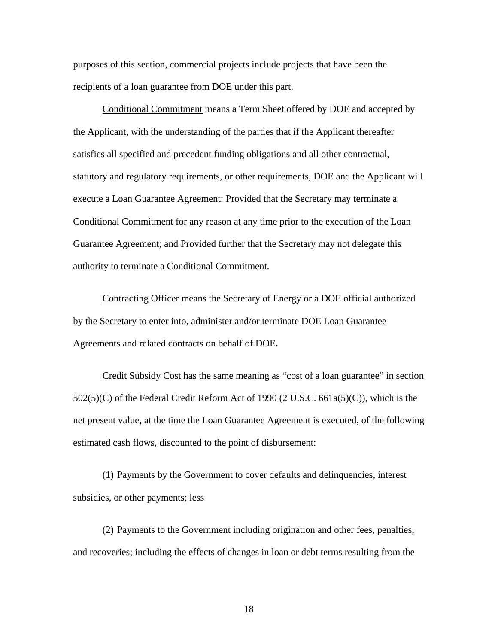purposes of this section, commercial projects include projects that have been the recipients of a loan guarantee from DOE under this part.

 Conditional Commitment means a Term Sheet offered by DOE and accepted by the Applicant, with the understanding of the parties that if the Applicant thereafter satisfies all specified and precedent funding obligations and all other contractual, statutory and regulatory requirements, or other requirements, DOE and the Applicant will execute a Loan Guarantee Agreement: Provided that the Secretary may terminate a Conditional Commitment for any reason at any time prior to the execution of the Loan Guarantee Agreement; and Provided further that the Secretary may not delegate this authority to terminate a Conditional Commitment.

Contracting Officer means the Secretary of Energy or a DOE official authorized by the Secretary to enter into, administer and/or terminate DOE Loan Guarantee Agreements and related contracts on behalf of DOE**.** 

Credit Subsidy Cost has the same meaning as "cost of a loan guarantee" in section  $502(5)(C)$  of the Federal Credit Reform Act of 1990 (2 U.S.C. 661a(5)(C)), which is the net present value, at the time the Loan Guarantee Agreement is executed, of the following estimated cash flows, discounted to the point of disbursement:

(1) Payments by the Government to cover defaults and delinquencies, interest subsidies, or other payments; less

(2) Payments to the Government including origination and other fees, penalties, and recoveries; including the effects of changes in loan or debt terms resulting from the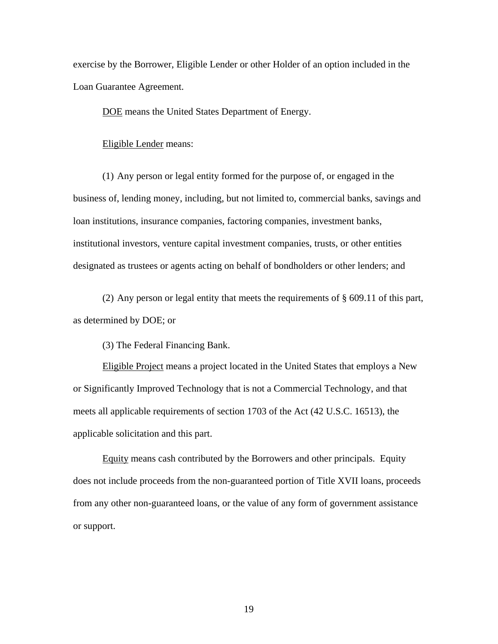exercise by the Borrower, Eligible Lender or other Holder of an option included in the Loan Guarantee Agreement.

DOE means the United States Department of Energy.

Eligible Lender means:

(1) Any person or legal entity formed for the purpose of, or engaged in the business of, lending money, including, but not limited to, commercial banks, savings and loan institutions, insurance companies, factoring companies, investment banks, institutional investors, venture capital investment companies, trusts, or other entities designated as trustees or agents acting on behalf of bondholders or other lenders; and

(2) Any person or legal entity that meets the requirements of § 609.11 of this part, as determined by DOE; or

(3) The Federal Financing Bank.

Eligible Project means a project located in the United States that employs a New or Significantly Improved Technology that is not a Commercial Technology, and that meets all applicable requirements of section 1703 of the Act (42 U.S.C. 16513), the applicable solicitation and this part.

 Equity means cash contributed by the Borrowers and other principals. Equity does not include proceeds from the non-guaranteed portion of Title XVII loans, proceeds from any other non-guaranteed loans, or the value of any form of government assistance or support.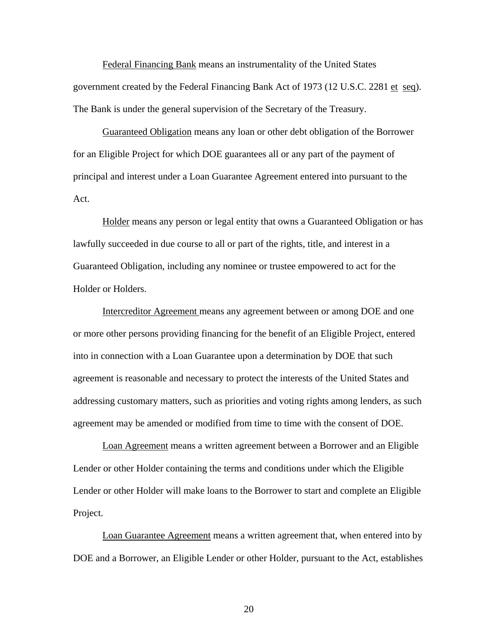Federal Financing Bank means an instrumentality of the United States government created by the Federal Financing Bank Act of 1973 (12 U.S.C. 2281 et seq). The Bank is under the general supervision of the Secretary of the Treasury.

 Guaranteed Obligation means any loan or other debt obligation of the Borrower for an Eligible Project for which DOE guarantees all or any part of the payment of principal and interest under a Loan Guarantee Agreement entered into pursuant to the Act.

Holder means any person or legal entity that owns a Guaranteed Obligation or has lawfully succeeded in due course to all or part of the rights, title, and interest in a Guaranteed Obligation, including any nominee or trustee empowered to act for the Holder or Holders.

 Intercreditor Agreement means any agreement between or among DOE and one or more other persons providing financing for the benefit of an Eligible Project, entered into in connection with a Loan Guarantee upon a determination by DOE that such agreement is reasonable and necessary to protect the interests of the United States and addressing customary matters, such as priorities and voting rights among lenders, as such agreement may be amended or modified from time to time with the consent of DOE.

Loan Agreement means a written agreement between a Borrower and an Eligible Lender or other Holder containing the terms and conditions under which the Eligible Lender or other Holder will make loans to the Borrower to start and complete an Eligible Project.

 Loan Guarantee Agreement means a written agreement that, when entered into by DOE and a Borrower, an Eligible Lender or other Holder, pursuant to the Act, establishes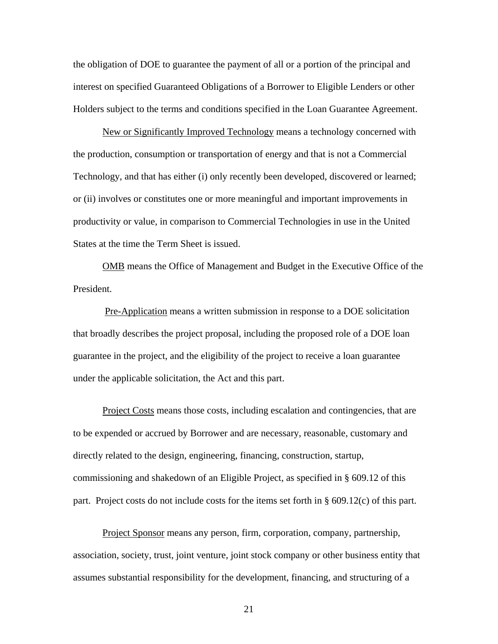the obligation of DOE to guarantee the payment of all or a portion of the principal and interest on specified Guaranteed Obligations of a Borrower to Eligible Lenders or other Holders subject to the terms and conditions specified in the Loan Guarantee Agreement.

 New or Significantly Improved Technology means a technology concerned with the production, consumption or transportation of energy and that is not a Commercial Technology, and that has either (i) only recently been developed, discovered or learned; or (ii) involves or constitutes one or more meaningful and important improvements in productivity or value, in comparison to Commercial Technologies in use in the United States at the time the Term Sheet is issued.

 OMB means the Office of Management and Budget in the Executive Office of the President.

 Pre-Application means a written submission in response to a DOE solicitation that broadly describes the project proposal, including the proposed role of a DOE loan guarantee in the project, and the eligibility of the project to receive a loan guarantee under the applicable solicitation, the Act and this part.

Project Costs means those costs, including escalation and contingencies, that are to be expended or accrued by Borrower and are necessary, reasonable, customary and directly related to the design, engineering, financing, construction, startup, commissioning and shakedown of an Eligible Project, as specified in § 609.12 of this part. Project costs do not include costs for the items set forth in § 609.12(c) of this part.

Project Sponsor means any person, firm, corporation, company, partnership, association, society, trust, joint venture, joint stock company or other business entity that assumes substantial responsibility for the development, financing, and structuring of a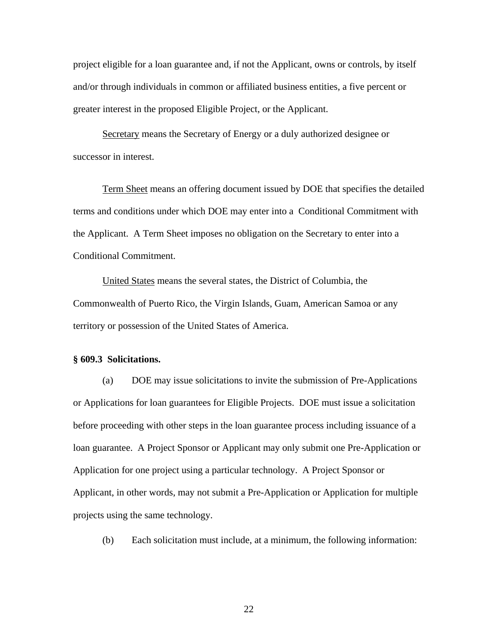project eligible for a loan guarantee and, if not the Applicant, owns or controls, by itself and/or through individuals in common or affiliated business entities, a five percent or greater interest in the proposed Eligible Project, or the Applicant.

 Secretary means the Secretary of Energy or a duly authorized designee or successor in interest.

Term Sheet means an offering document issued by DOE that specifies the detailed terms and conditions under which DOE may enter into a Conditional Commitment with the Applicant. A Term Sheet imposes no obligation on the Secretary to enter into a Conditional Commitment.

 United States means the several states, the District of Columbia, the Commonwealth of Puerto Rico, the Virgin Islands, Guam, American Samoa or any territory or possession of the United States of America.

# **§ 609.3 Solicitations.**

 (a) DOE may issue solicitations to invite the submission of Pre-Applications or Applications for loan guarantees for Eligible Projects. DOE must issue a solicitation before proceeding with other steps in the loan guarantee process including issuance of a loan guarantee. A Project Sponsor or Applicant may only submit one Pre-Application or Application for one project using a particular technology. A Project Sponsor or Applicant, in other words, may not submit a Pre-Application or Application for multiple projects using the same technology.

(b) Each solicitation must include, at a minimum, the following information: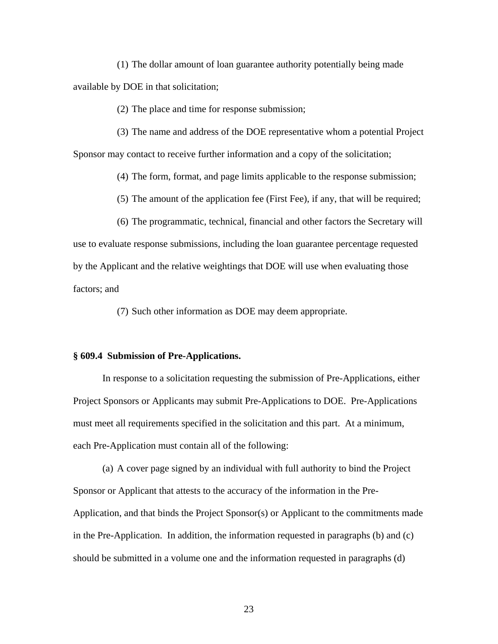(1) The dollar amount of loan guarantee authority potentially being made available by DOE in that solicitation;

(2) The place and time for response submission;

 (3) The name and address of the DOE representative whom a potential Project Sponsor may contact to receive further information and a copy of the solicitation;

(4) The form, format, and page limits applicable to the response submission;

(5) The amount of the application fee (First Fee), if any, that will be required;

 (6) The programmatic, technical, financial and other factors the Secretary will use to evaluate response submissions, including the loan guarantee percentage requested by the Applicant and the relative weightings that DOE will use when evaluating those factors; and

(7) Such other information as DOE may deem appropriate.

# **§ 609.4 Submission of Pre-Applications.**

 In response to a solicitation requesting the submission of Pre-Applications, either Project Sponsors or Applicants may submit Pre-Applications to DOE. Pre-Applications must meet all requirements specified in the solicitation and this part. At a minimum, each Pre-Application must contain all of the following:

(a) A cover page signed by an individual with full authority to bind the Project Sponsor or Applicant that attests to the accuracy of the information in the Pre-Application, and that binds the Project Sponsor(s) or Applicant to the commitments made in the Pre-Application. In addition, the information requested in paragraphs (b) and (c) should be submitted in a volume one and the information requested in paragraphs (d)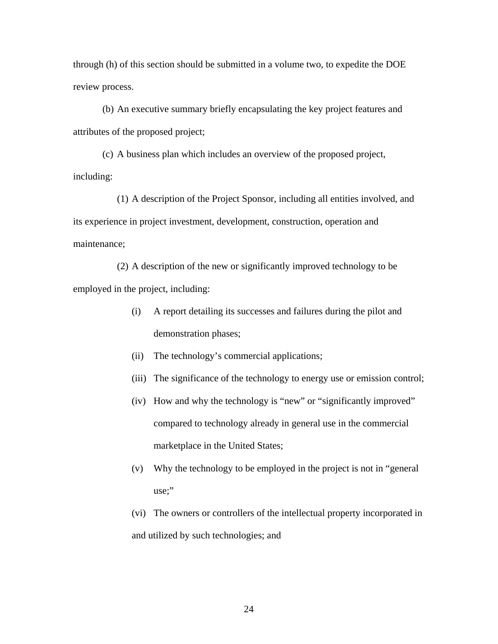through (h) of this section should be submitted in a volume two, to expedite the DOE review process.

(b) An executive summary briefly encapsulating the key project features and attributes of the proposed project;

 (c) A business plan which includes an overview of the proposed project, including:

 (1) A description of the Project Sponsor, including all entities involved, and its experience in project investment, development, construction, operation and maintenance;

 (2) A description of the new or significantly improved technology to be employed in the project, including:

- (i) A report detailing its successes and failures during the pilot and demonstration phases;
- (ii) The technology's commercial applications;
- (iii) The significance of the technology to energy use or emission control;
- (iv) How and why the technology is "new" or "significantly improved" compared to technology already in general use in the commercial marketplace in the United States;
- (v) Why the technology to be employed in the project is not in "general use;"
- (vi) The owners or controllers of the intellectual property incorporated in and utilized by such technologies; and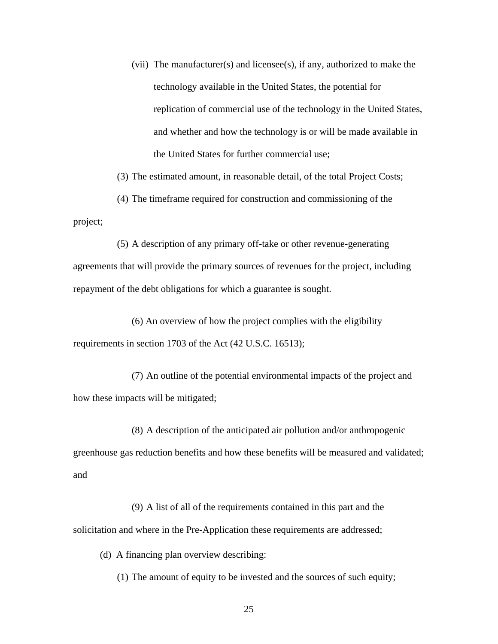(vii) The manufacturer(s) and licensee(s), if any, authorized to make the technology available in the United States, the potential for replication of commercial use of the technology in the United States, and whether and how the technology is or will be made available in the United States for further commercial use;

(3) The estimated amount, in reasonable detail, of the total Project Costs;

 (4) The timeframe required for construction and commissioning of the project;

 (5) A description of any primary off-take or other revenue-generating agreements that will provide the primary sources of revenues for the project, including repayment of the debt obligations for which a guarantee is sought.

 (6) An overview of how the project complies with the eligibility requirements in section 1703 of the Act (42 U.S.C. 16513);

 (7) An outline of the potential environmental impacts of the project and how these impacts will be mitigated;

 (8) A description of the anticipated air pollution and/or anthropogenic greenhouse gas reduction benefits and how these benefits will be measured and validated; and

 (9) A list of all of the requirements contained in this part and the solicitation and where in the Pre-Application these requirements are addressed;

(d) A financing plan overview describing:

(1) The amount of equity to be invested and the sources of such equity;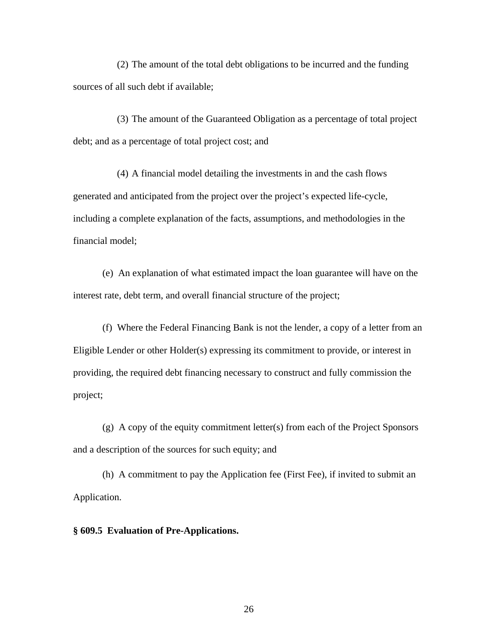(2) The amount of the total debt obligations to be incurred and the funding sources of all such debt if available;

(3) The amount of the Guaranteed Obligation as a percentage of total project debt; and as a percentage of total project cost; and

(4) A financial model detailing the investments in and the cash flows generated and anticipated from the project over the project's expected life-cycle, including a complete explanation of the facts, assumptions, and methodologies in the financial model;

(e) An explanation of what estimated impact the loan guarantee will have on the interest rate, debt term, and overall financial structure of the project;

(f) Where the Federal Financing Bank is not the lender, a copy of a letter from an Eligible Lender or other Holder(s) expressing its commitment to provide, or interest in providing, the required debt financing necessary to construct and fully commission the project;

(g) A copy of the equity commitment letter(s) from each of the Project Sponsors and a description of the sources for such equity; and

(h) A commitment to pay the Application fee (First Fee), if invited to submit an Application.

**§ 609.5 Evaluation of Pre-Applications.**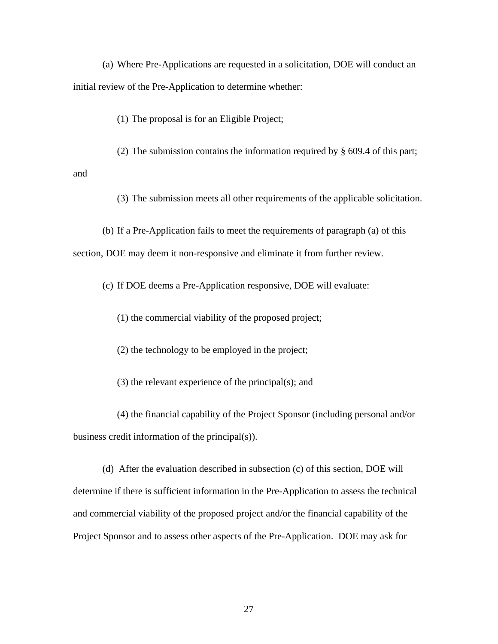(a) Where Pre-Applications are requested in a solicitation, DOE will conduct an initial review of the Pre-Application to determine whether:

(1) The proposal is for an Eligible Project;

(2) The submission contains the information required by § 609.4 of this part;

and

(3) The submission meets all other requirements of the applicable solicitation.

 (b) If a Pre-Application fails to meet the requirements of paragraph (a) of this section, DOE may deem it non-responsive and eliminate it from further review.

(c) If DOE deems a Pre-Application responsive, DOE will evaluate:

(1) the commercial viability of the proposed project;

(2) the technology to be employed in the project;

(3) the relevant experience of the principal(s); and

 (4) the financial capability of the Project Sponsor (including personal and/or business credit information of the principal(s)).

 (d) After the evaluation described in subsection (c) of this section, DOE will determine if there is sufficient information in the Pre-Application to assess the technical and commercial viability of the proposed project and/or the financial capability of the Project Sponsor and to assess other aspects of the Pre-Application. DOE may ask for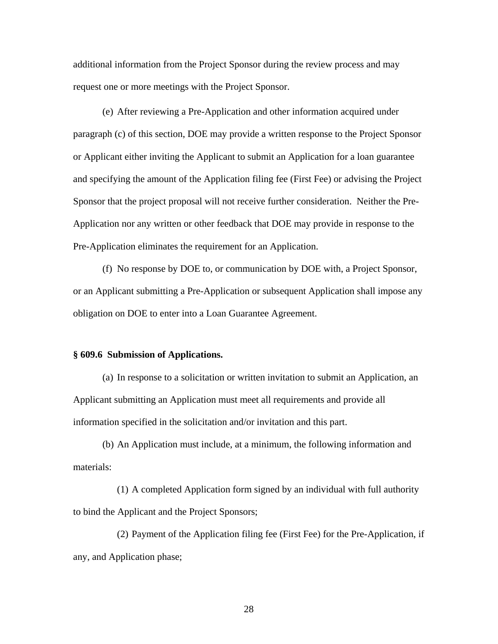additional information from the Project Sponsor during the review process and may request one or more meetings with the Project Sponsor.

(e) After reviewing a Pre-Application and other information acquired under paragraph (c) of this section, DOE may provide a written response to the Project Sponsor or Applicant either inviting the Applicant to submit an Application for a loan guarantee and specifying the amount of the Application filing fee (First Fee) or advising the Project Sponsor that the project proposal will not receive further consideration. Neither the Pre-Application nor any written or other feedback that DOE may provide in response to the Pre-Application eliminates the requirement for an Application.

(f) No response by DOE to, or communication by DOE with, a Project Sponsor, or an Applicant submitting a Pre-Application or subsequent Application shall impose any obligation on DOE to enter into a Loan Guarantee Agreement.

### **§ 609.6 Submission of Applications.**

(a) In response to a solicitation or written invitation to submit an Application, an Applicant submitting an Application must meet all requirements and provide all information specified in the solicitation and/or invitation and this part.

 (b) An Application must include, at a minimum, the following information and materials:

(1) A completed Application form signed by an individual with full authority to bind the Applicant and the Project Sponsors;

(2) Payment of the Application filing fee (First Fee) for the Pre-Application, if any, and Application phase;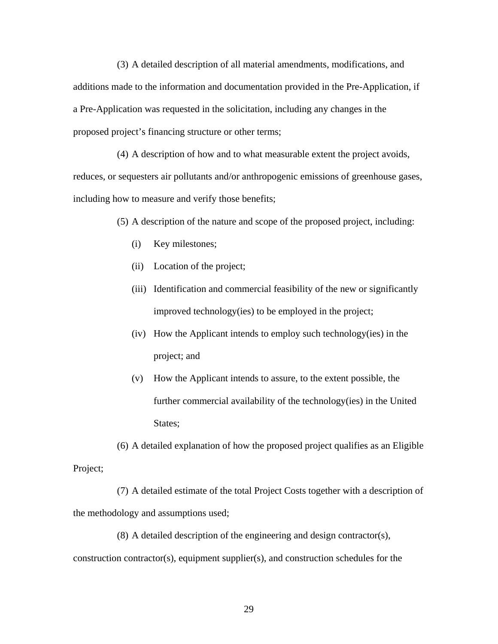(3) A detailed description of all material amendments, modifications, and additions made to the information and documentation provided in the Pre-Application, if a Pre-Application was requested in the solicitation, including any changes in the proposed project's financing structure or other terms;

(4) A description of how and to what measurable extent the project avoids, reduces, or sequesters air pollutants and/or anthropogenic emissions of greenhouse gases, including how to measure and verify those benefits;

(5) A description of the nature and scope of the proposed project, including:

- (i) Key milestones;
- (ii) Location of the project;
- (iii) Identification and commercial feasibility of the new or significantly improved technology(ies) to be employed in the project;
- (iv) How the Applicant intends to employ such technology(ies) in the project; and
- (v) How the Applicant intends to assure, to the extent possible, the further commercial availability of the technology(ies) in the United States:

(6) A detailed explanation of how the proposed project qualifies as an Eligible Project;

(7) A detailed estimate of the total Project Costs together with a description of the methodology and assumptions used;

(8) A detailed description of the engineering and design contractor(s), construction contractor(s), equipment supplier(s), and construction schedules for the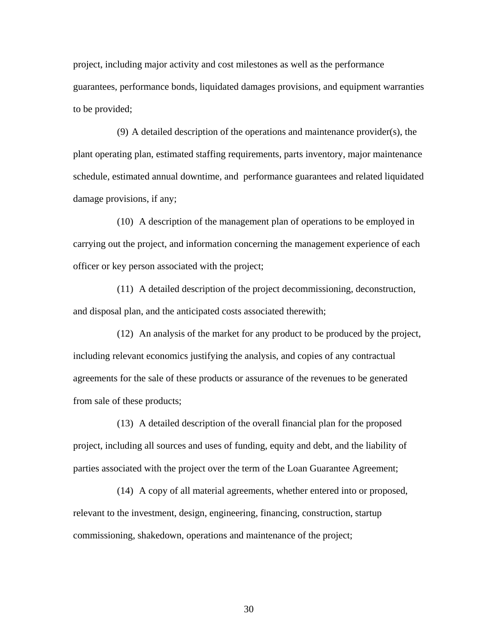project, including major activity and cost milestones as well as the performance guarantees, performance bonds, liquidated damages provisions, and equipment warranties to be provided;

(9) A detailed description of the operations and maintenance provider(s), the plant operating plan, estimated staffing requirements, parts inventory, major maintenance schedule, estimated annual downtime, and performance guarantees and related liquidated damage provisions, if any;

(10) A description of the management plan of operations to be employed in carrying out the project, and information concerning the management experience of each officer or key person associated with the project;

(11) A detailed description of the project decommissioning, deconstruction, and disposal plan, and the anticipated costs associated therewith;

(12) An analysis of the market for any product to be produced by the project, including relevant economics justifying the analysis, and copies of any contractual agreements for the sale of these products or assurance of the revenues to be generated from sale of these products;

(13) A detailed description of the overall financial plan for the proposed project, including all sources and uses of funding, equity and debt, and the liability of parties associated with the project over the term of the Loan Guarantee Agreement;

(14) A copy of all material agreements, whether entered into or proposed, relevant to the investment, design, engineering, financing, construction, startup commissioning, shakedown, operations and maintenance of the project;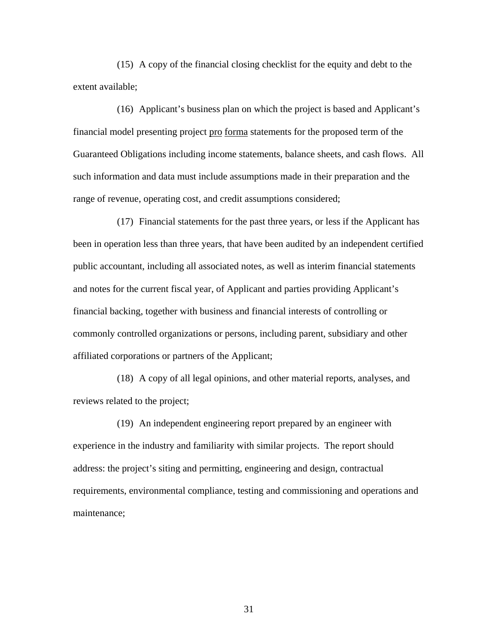(15) A copy of the financial closing checklist for the equity and debt to the extent available;

(16) Applicant's business plan on which the project is based and Applicant's financial model presenting project pro forma statements for the proposed term of the Guaranteed Obligations including income statements, balance sheets, and cash flows. All such information and data must include assumptions made in their preparation and the range of revenue, operating cost, and credit assumptions considered;

(17) Financial statements for the past three years, or less if the Applicant has been in operation less than three years, that have been audited by an independent certified public accountant, including all associated notes, as well as interim financial statements and notes for the current fiscal year, of Applicant and parties providing Applicant's financial backing, together with business and financial interests of controlling or commonly controlled organizations or persons, including parent, subsidiary and other affiliated corporations or partners of the Applicant;

(18) A copy of all legal opinions, and other material reports, analyses, and reviews related to the project;

(19) An independent engineering report prepared by an engineer with experience in the industry and familiarity with similar projects. The report should address: the project's siting and permitting, engineering and design, contractual requirements, environmental compliance, testing and commissioning and operations and maintenance;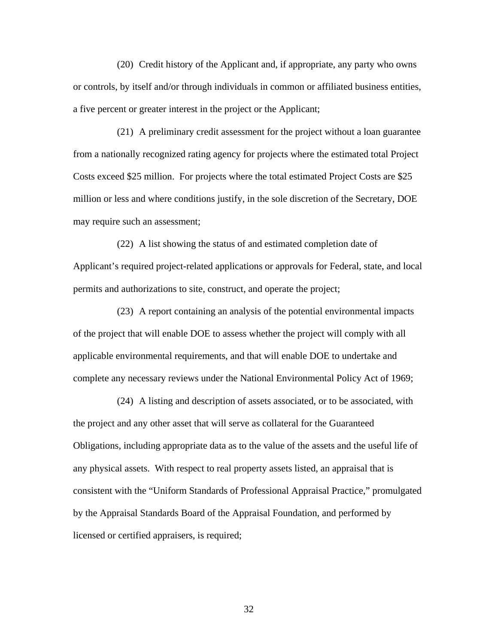(20) Credit history of the Applicant and, if appropriate, any party who owns or controls, by itself and/or through individuals in common or affiliated business entities, a five percent or greater interest in the project or the Applicant;

(21) A preliminary credit assessment for the project without a loan guarantee from a nationally recognized rating agency for projects where the estimated total Project Costs exceed \$25 million. For projects where the total estimated Project Costs are \$25 million or less and where conditions justify, in the sole discretion of the Secretary, DOE may require such an assessment;

(22) A list showing the status of and estimated completion date of Applicant's required project-related applications or approvals for Federal, state, and local permits and authorizations to site, construct, and operate the project;

(23) A report containing an analysis of the potential environmental impacts of the project that will enable DOE to assess whether the project will comply with all applicable environmental requirements, and that will enable DOE to undertake and complete any necessary reviews under the National Environmental Policy Act of 1969;

(24) A listing and description of assets associated, or to be associated, with the project and any other asset that will serve as collateral for the Guaranteed Obligations, including appropriate data as to the value of the assets and the useful life of any physical assets. With respect to real property assets listed, an appraisal that is consistent with the "Uniform Standards of Professional Appraisal Practice," promulgated by the Appraisal Standards Board of the Appraisal Foundation, and performed by licensed or certified appraisers, is required;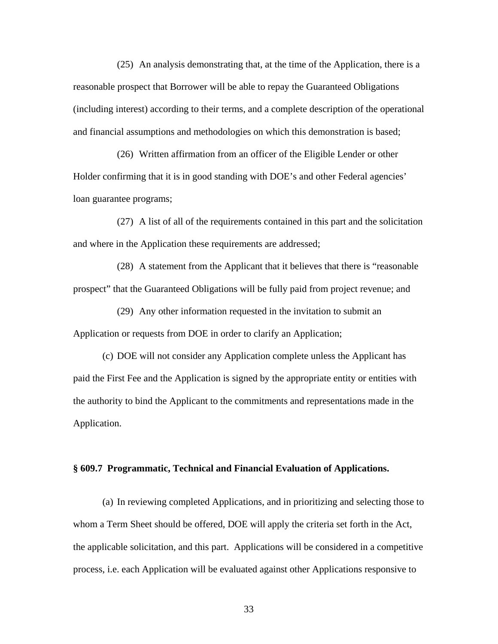(25) An analysis demonstrating that, at the time of the Application, there is a reasonable prospect that Borrower will be able to repay the Guaranteed Obligations (including interest) according to their terms, and a complete description of the operational and financial assumptions and methodologies on which this demonstration is based;

(26) Written affirmation from an officer of the Eligible Lender or other Holder confirming that it is in good standing with DOE's and other Federal agencies' loan guarantee programs;

(27) A list of all of the requirements contained in this part and the solicitation and where in the Application these requirements are addressed;

(28) A statement from the Applicant that it believes that there is "reasonable prospect" that the Guaranteed Obligations will be fully paid from project revenue; and

(29) Any other information requested in the invitation to submit an Application or requests from DOE in order to clarify an Application;

(c) DOE will not consider any Application complete unless the Applicant has paid the First Fee and the Application is signed by the appropriate entity or entities with the authority to bind the Applicant to the commitments and representations made in the Application.

### **§ 609.7 Programmatic, Technical and Financial Evaluation of Applications.**

(a) In reviewing completed Applications, and in prioritizing and selecting those to whom a Term Sheet should be offered, DOE will apply the criteria set forth in the Act, the applicable solicitation, and this part. Applications will be considered in a competitive process, i.e. each Application will be evaluated against other Applications responsive to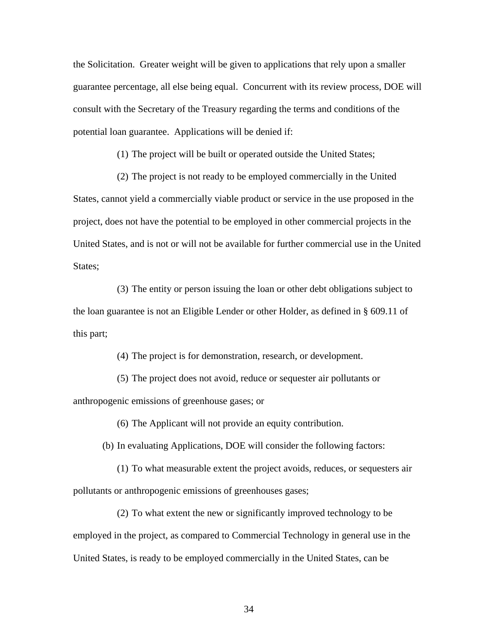the Solicitation. Greater weight will be given to applications that rely upon a smaller guarantee percentage, all else being equal. Concurrent with its review process, DOE will consult with the Secretary of the Treasury regarding the terms and conditions of the potential loan guarantee. Applications will be denied if:

(1) The project will be built or operated outside the United States;

 (2) The project is not ready to be employed commercially in the United States, cannot yield a commercially viable product or service in the use proposed in the project, does not have the potential to be employed in other commercial projects in the United States, and is not or will not be available for further commercial use in the United States;

 (3) The entity or person issuing the loan or other debt obligations subject to the loan guarantee is not an Eligible Lender or other Holder, as defined in § 609.11 of this part;

(4) The project is for demonstration, research, or development.

 (5) The project does not avoid, reduce or sequester air pollutants or anthropogenic emissions of greenhouse gases; or

(6) The Applicant will not provide an equity contribution.

(b) In evaluating Applications, DOE will consider the following factors:

 (1) To what measurable extent the project avoids, reduces, or sequesters air pollutants or anthropogenic emissions of greenhouses gases;

 (2) To what extent the new or significantly improved technology to be employed in the project, as compared to Commercial Technology in general use in the United States, is ready to be employed commercially in the United States, can be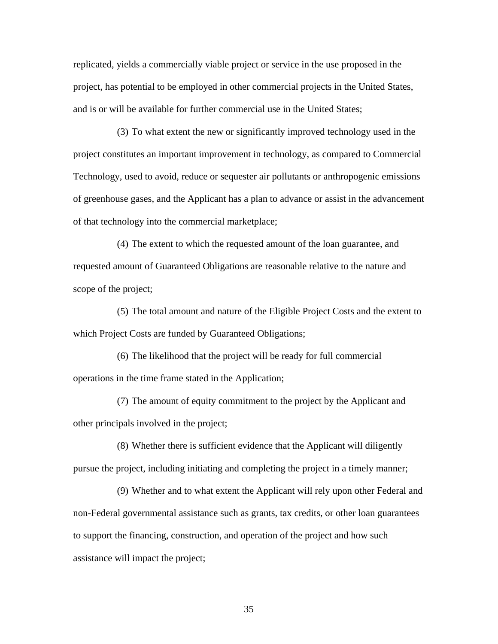replicated, yields a commercially viable project or service in the use proposed in the project, has potential to be employed in other commercial projects in the United States, and is or will be available for further commercial use in the United States;

 (3) To what extent the new or significantly improved technology used in the project constitutes an important improvement in technology, as compared to Commercial Technology, used to avoid, reduce or sequester air pollutants or anthropogenic emissions of greenhouse gases, and the Applicant has a plan to advance or assist in the advancement of that technology into the commercial marketplace;

 (4) The extent to which the requested amount of the loan guarantee, and requested amount of Guaranteed Obligations are reasonable relative to the nature and scope of the project;

 (5) The total amount and nature of the Eligible Project Costs and the extent to which Project Costs are funded by Guaranteed Obligations;

 (6) The likelihood that the project will be ready for full commercial operations in the time frame stated in the Application;

 (7) The amount of equity commitment to the project by the Applicant and other principals involved in the project;

 (8) Whether there is sufficient evidence that the Applicant will diligently pursue the project, including initiating and completing the project in a timely manner;

 (9) Whether and to what extent the Applicant will rely upon other Federal and non-Federal governmental assistance such as grants, tax credits, or other loan guarantees to support the financing, construction, and operation of the project and how such assistance will impact the project;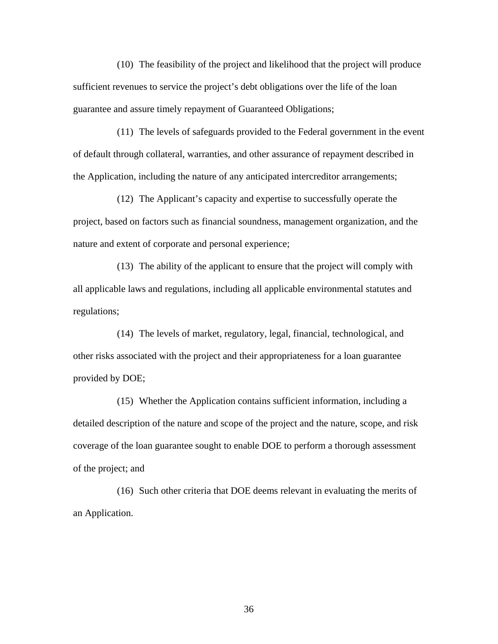(10) The feasibility of the project and likelihood that the project will produce sufficient revenues to service the project's debt obligations over the life of the loan guarantee and assure timely repayment of Guaranteed Obligations;

 (11) The levels of safeguards provided to the Federal government in the event of default through collateral, warranties, and other assurance of repayment described in the Application, including the nature of any anticipated intercreditor arrangements;

 (12) The Applicant's capacity and expertise to successfully operate the project, based on factors such as financial soundness, management organization, and the nature and extent of corporate and personal experience;

 (13) The ability of the applicant to ensure that the project will comply with all applicable laws and regulations, including all applicable environmental statutes and regulations;

 (14) The levels of market, regulatory, legal, financial, technological, and other risks associated with the project and their appropriateness for a loan guarantee provided by DOE;

 (15) Whether the Application contains sufficient information, including a detailed description of the nature and scope of the project and the nature, scope, and risk coverage of the loan guarantee sought to enable DOE to perform a thorough assessment of the project; and

 (16) Such other criteria that DOE deems relevant in evaluating the merits of an Application.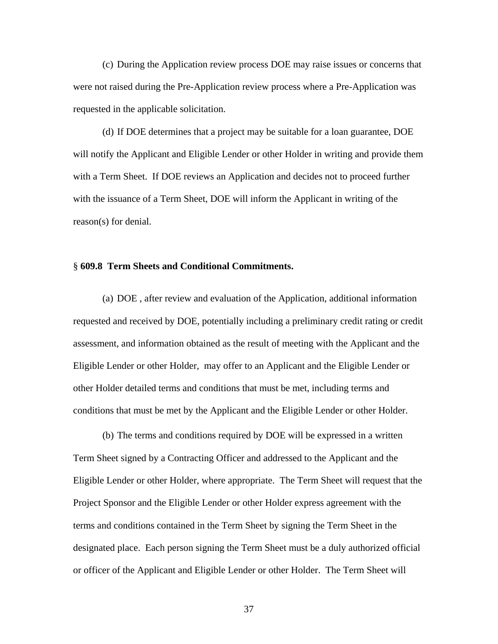(c) During the Application review process DOE may raise issues or concerns that were not raised during the Pre-Application review process where a Pre-Application was requested in the applicable solicitation.

 (d) If DOE determines that a project may be suitable for a loan guarantee, DOE will notify the Applicant and Eligible Lender or other Holder in writing and provide them with a Term Sheet. If DOE reviews an Application and decides not to proceed further with the issuance of a Term Sheet, DOE will inform the Applicant in writing of the reason(s) for denial.

# § **609.8 Term Sheets and Conditional Commitments.**

 (a) DOE , after review and evaluation of the Application, additional information requested and received by DOE, potentially including a preliminary credit rating or credit assessment, and information obtained as the result of meeting with the Applicant and the Eligible Lender or other Holder, may offer to an Applicant and the Eligible Lender or other Holder detailed terms and conditions that must be met, including terms and conditions that must be met by the Applicant and the Eligible Lender or other Holder.

 (b) The terms and conditions required by DOE will be expressed in a written Term Sheet signed by a Contracting Officer and addressed to the Applicant and the Eligible Lender or other Holder, where appropriate. The Term Sheet will request that the Project Sponsor and the Eligible Lender or other Holder express agreement with the terms and conditions contained in the Term Sheet by signing the Term Sheet in the designated place. Each person signing the Term Sheet must be a duly authorized official or officer of the Applicant and Eligible Lender or other Holder. The Term Sheet will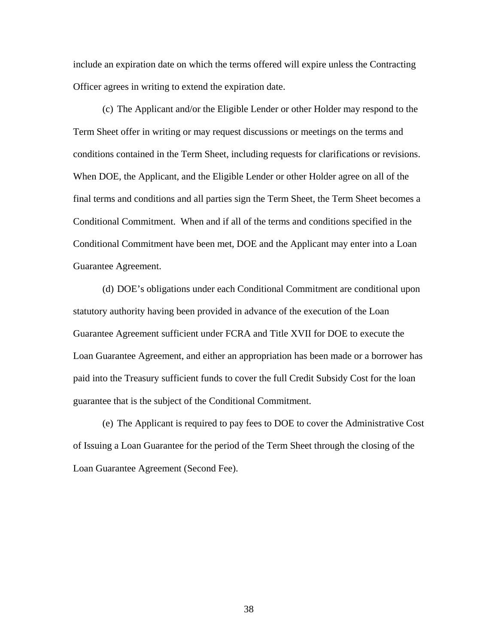include an expiration date on which the terms offered will expire unless the Contracting Officer agrees in writing to extend the expiration date.

 (c) The Applicant and/or the Eligible Lender or other Holder may respond to the Term Sheet offer in writing or may request discussions or meetings on the terms and conditions contained in the Term Sheet, including requests for clarifications or revisions. When DOE, the Applicant, and the Eligible Lender or other Holder agree on all of the final terms and conditions and all parties sign the Term Sheet, the Term Sheet becomes a Conditional Commitment. When and if all of the terms and conditions specified in the Conditional Commitment have been met, DOE and the Applicant may enter into a Loan Guarantee Agreement.

 (d) DOE's obligations under each Conditional Commitment are conditional upon statutory authority having been provided in advance of the execution of the Loan Guarantee Agreement sufficient under FCRA and Title XVII for DOE to execute the Loan Guarantee Agreement, and either an appropriation has been made or a borrower has paid into the Treasury sufficient funds to cover the full Credit Subsidy Cost for the loan guarantee that is the subject of the Conditional Commitment.

 (e) The Applicant is required to pay fees to DOE to cover the Administrative Cost of Issuing a Loan Guarantee for the period of the Term Sheet through the closing of the Loan Guarantee Agreement (Second Fee).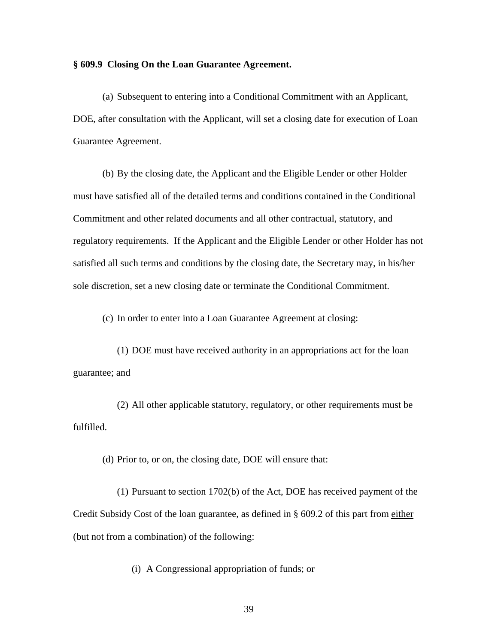# **§ 609.9 Closing On the Loan Guarantee Agreement.**

 (a) Subsequent to entering into a Conditional Commitment with an Applicant, DOE, after consultation with the Applicant, will set a closing date for execution of Loan Guarantee Agreement.

(b) By the closing date, the Applicant and the Eligible Lender or other Holder must have satisfied all of the detailed terms and conditions contained in the Conditional Commitment and other related documents and all other contractual, statutory, and regulatory requirements. If the Applicant and the Eligible Lender or other Holder has not satisfied all such terms and conditions by the closing date, the Secretary may, in his/her sole discretion, set a new closing date or terminate the Conditional Commitment.

(c) In order to enter into a Loan Guarantee Agreement at closing:

 (1) DOE must have received authority in an appropriations act for the loan guarantee; and

 (2) All other applicable statutory, regulatory, or other requirements must be fulfilled.

(d) Prior to, or on, the closing date, DOE will ensure that:

 (1) Pursuant to section 1702(b) of the Act, DOE has received payment of the Credit Subsidy Cost of the loan guarantee, as defined in § 609.2 of this part from either (but not from a combination) of the following:

(i) A Congressional appropriation of funds; or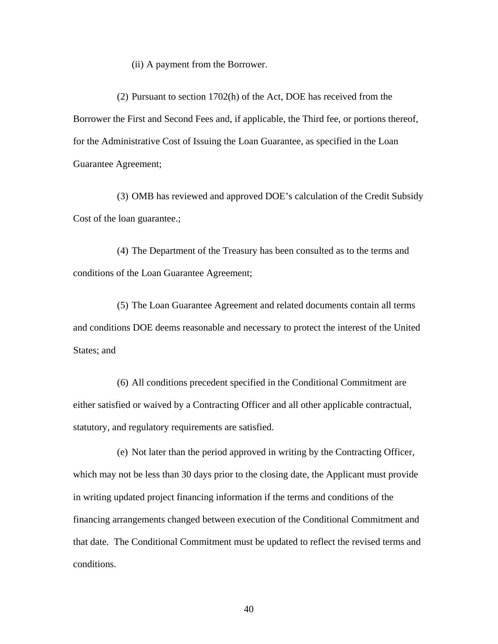(ii) A payment from the Borrower.

 (2) Pursuant to section 1702(h) of the Act, DOE has received from the Borrower the First and Second Fees and, if applicable, the Third fee, or portions thereof, for the Administrative Cost of Issuing the Loan Guarantee, as specified in the Loan Guarantee Agreement;

 (3) OMB has reviewed and approved DOE's calculation of the Credit Subsidy Cost of the loan guarantee.;

 (4) The Department of the Treasury has been consulted as to the terms and conditions of the Loan Guarantee Agreement;

 (5) The Loan Guarantee Agreement and related documents contain all terms and conditions DOE deems reasonable and necessary to protect the interest of the United States; and

 (6) All conditions precedent specified in the Conditional Commitment are either satisfied or waived by a Contracting Officer and all other applicable contractual, statutory, and regulatory requirements are satisfied.

 (e) Not later than the period approved in writing by the Contracting Officer, which may not be less than 30 days prior to the closing date, the Applicant must provide in writing updated project financing information if the terms and conditions of the financing arrangements changed between execution of the Conditional Commitment and that date. The Conditional Commitment must be updated to reflect the revised terms and conditions.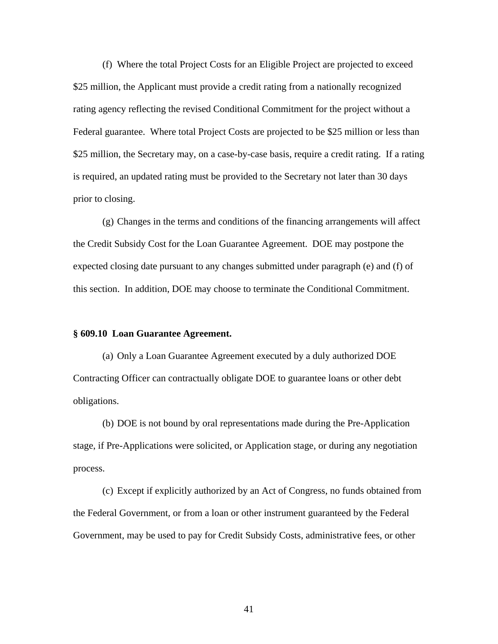(f) Where the total Project Costs for an Eligible Project are projected to exceed \$25 million, the Applicant must provide a credit rating from a nationally recognized rating agency reflecting the revised Conditional Commitment for the project without a Federal guarantee. Where total Project Costs are projected to be \$25 million or less than \$25 million, the Secretary may, on a case-by-case basis, require a credit rating. If a rating is required, an updated rating must be provided to the Secretary not later than 30 days prior to closing.

(g) Changes in the terms and conditions of the financing arrangements will affect the Credit Subsidy Cost for the Loan Guarantee Agreement. DOE may postpone the expected closing date pursuant to any changes submitted under paragraph (e) and (f) of this section. In addition, DOE may choose to terminate the Conditional Commitment.

# **§ 609.10 Loan Guarantee Agreement.**

(a) Only a Loan Guarantee Agreement executed by a duly authorized DOE Contracting Officer can contractually obligate DOE to guarantee loans or other debt obligations.

(b) DOE is not bound by oral representations made during the Pre-Application stage, if Pre-Applications were solicited, or Application stage, or during any negotiation process.

(c) Except if explicitly authorized by an Act of Congress, no funds obtained from the Federal Government, or from a loan or other instrument guaranteed by the Federal Government, may be used to pay for Credit Subsidy Costs, administrative fees, or other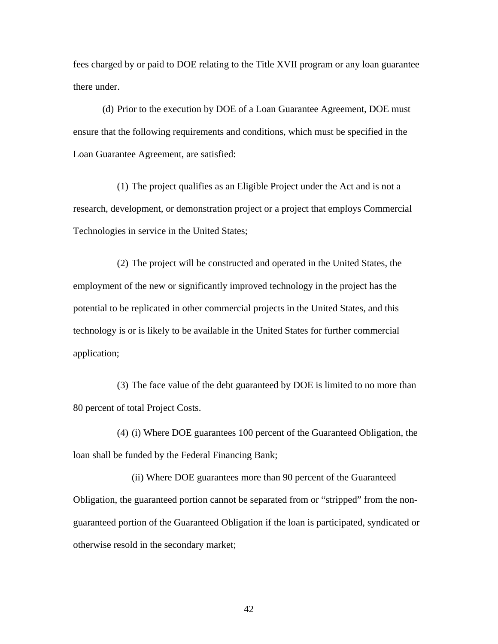fees charged by or paid to DOE relating to the Title XVII program or any loan guarantee there under.

(d) Prior to the execution by DOE of a Loan Guarantee Agreement, DOE must ensure that the following requirements and conditions, which must be specified in the Loan Guarantee Agreement, are satisfied:

(1) The project qualifies as an Eligible Project under the Act and is not a research, development, or demonstration project or a project that employs Commercial Technologies in service in the United States;

(2) The project will be constructed and operated in the United States, the employment of the new or significantly improved technology in the project has the potential to be replicated in other commercial projects in the United States, and this technology is or is likely to be available in the United States for further commercial application;

(3) The face value of the debt guaranteed by DOE is limited to no more than 80 percent of total Project Costs.

(4) (i) Where DOE guarantees 100 percent of the Guaranteed Obligation, the loan shall be funded by the Federal Financing Bank;

 (ii) Where DOE guarantees more than 90 percent of the Guaranteed Obligation, the guaranteed portion cannot be separated from or "stripped" from the nonguaranteed portion of the Guaranteed Obligation if the loan is participated, syndicated or otherwise resold in the secondary market;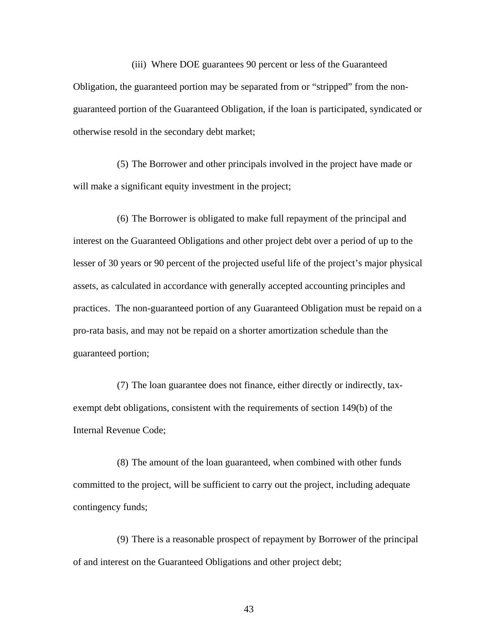(iii) Where DOE guarantees 90 percent or less of the Guaranteed Obligation, the guaranteed portion may be separated from or "stripped" from the nonguaranteed portion of the Guaranteed Obligation, if the loan is participated, syndicated or otherwise resold in the secondary debt market;

(5) The Borrower and other principals involved in the project have made or will make a significant equity investment in the project;

(6) The Borrower is obligated to make full repayment of the principal and interest on the Guaranteed Obligations and other project debt over a period of up to the lesser of 30 years or 90 percent of the projected useful life of the project's major physical assets, as calculated in accordance with generally accepted accounting principles and practices. The non-guaranteed portion of any Guaranteed Obligation must be repaid on a pro-rata basis, and may not be repaid on a shorter amortization schedule than the guaranteed portion;

(7) The loan guarantee does not finance, either directly or indirectly, taxexempt debt obligations, consistent with the requirements of section 149(b) of the Internal Revenue Code;

(8) The amount of the loan guaranteed, when combined with other funds committed to the project, will be sufficient to carry out the project, including adequate contingency funds;

(9) There is a reasonable prospect of repayment by Borrower of the principal of and interest on the Guaranteed Obligations and other project debt;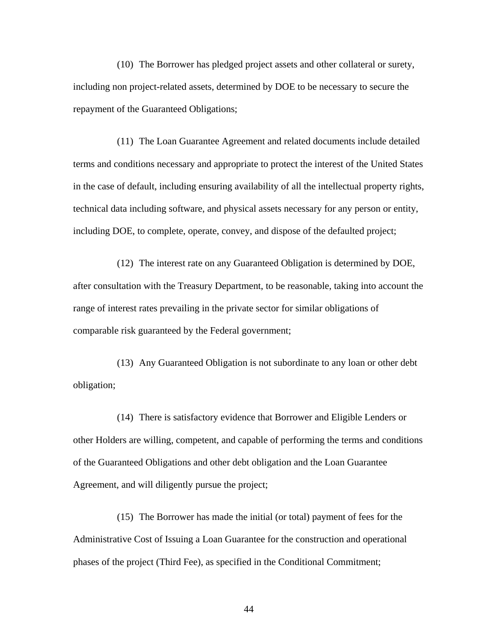(10) The Borrower has pledged project assets and other collateral or surety, including non project-related assets, determined by DOE to be necessary to secure the repayment of the Guaranteed Obligations;

(11) The Loan Guarantee Agreement and related documents include detailed terms and conditions necessary and appropriate to protect the interest of the United States in the case of default, including ensuring availability of all the intellectual property rights, technical data including software, and physical assets necessary for any person or entity, including DOE, to complete, operate, convey, and dispose of the defaulted project;

(12) The interest rate on any Guaranteed Obligation is determined by DOE, after consultation with the Treasury Department, to be reasonable, taking into account the range of interest rates prevailing in the private sector for similar obligations of comparable risk guaranteed by the Federal government;

(13) Any Guaranteed Obligation is not subordinate to any loan or other debt obligation;

(14) There is satisfactory evidence that Borrower and Eligible Lenders or other Holders are willing, competent, and capable of performing the terms and conditions of the Guaranteed Obligations and other debt obligation and the Loan Guarantee Agreement, and will diligently pursue the project;

(15) The Borrower has made the initial (or total) payment of fees for the Administrative Cost of Issuing a Loan Guarantee for the construction and operational phases of the project (Third Fee), as specified in the Conditional Commitment;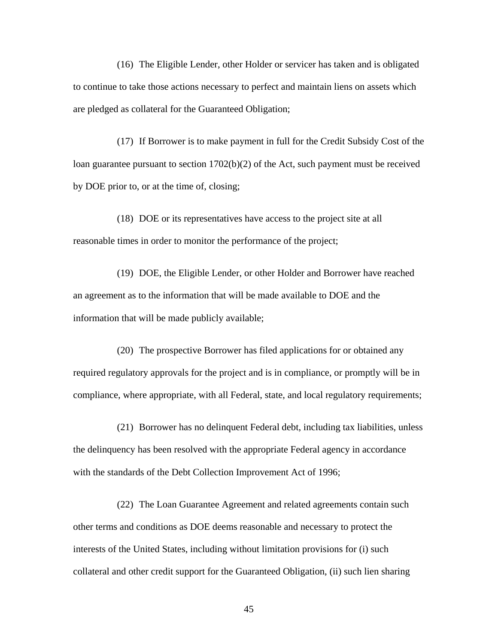(16) The Eligible Lender, other Holder or servicer has taken and is obligated to continue to take those actions necessary to perfect and maintain liens on assets which are pledged as collateral for the Guaranteed Obligation;

(17) If Borrower is to make payment in full for the Credit Subsidy Cost of the loan guarantee pursuant to section 1702(b)(2) of the Act, such payment must be received by DOE prior to, or at the time of, closing;

(18) DOE or its representatives have access to the project site at all reasonable times in order to monitor the performance of the project;

(19) DOE, the Eligible Lender, or other Holder and Borrower have reached an agreement as to the information that will be made available to DOE and the information that will be made publicly available;

(20) The prospective Borrower has filed applications for or obtained any required regulatory approvals for the project and is in compliance, or promptly will be in compliance, where appropriate, with all Federal, state, and local regulatory requirements;

(21) Borrower has no delinquent Federal debt, including tax liabilities, unless the delinquency has been resolved with the appropriate Federal agency in accordance with the standards of the Debt Collection Improvement Act of 1996;

(22) The Loan Guarantee Agreement and related agreements contain such other terms and conditions as DOE deems reasonable and necessary to protect the interests of the United States, including without limitation provisions for (i) such collateral and other credit support for the Guaranteed Obligation, (ii) such lien sharing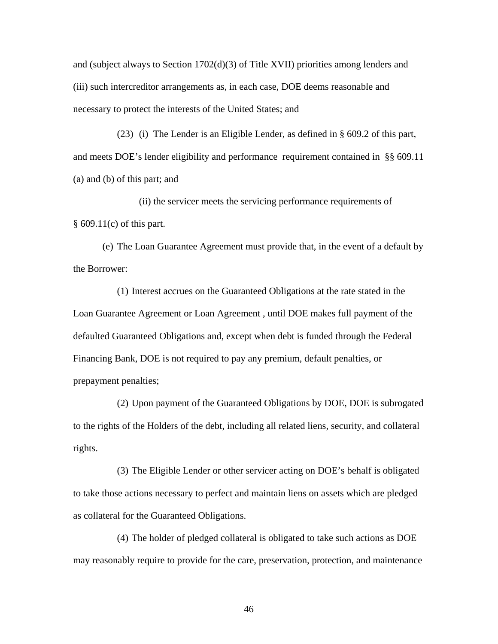and (subject always to Section 1702(d)(3) of Title XVII) priorities among lenders and (iii) such intercreditor arrangements as, in each case, DOE deems reasonable and necessary to protect the interests of the United States; and

(23) (i) The Lender is an Eligible Lender, as defined in § 609.2 of this part, and meets DOE's lender eligibility and performance requirement contained in §§ 609.11 (a) and (b) of this part; and

 (ii) the servicer meets the servicing performance requirements of § 609.11(c) of this part.

 (e) The Loan Guarantee Agreement must provide that, in the event of a default by the Borrower:

(1) Interest accrues on the Guaranteed Obligations at the rate stated in the Loan Guarantee Agreement or Loan Agreement , until DOE makes full payment of the defaulted Guaranteed Obligations and, except when debt is funded through the Federal Financing Bank, DOE is not required to pay any premium, default penalties, or prepayment penalties;

(2) Upon payment of the Guaranteed Obligations by DOE, DOE is subrogated to the rights of the Holders of the debt, including all related liens, security, and collateral rights.

(3) The Eligible Lender or other servicer acting on DOE's behalf is obligated to take those actions necessary to perfect and maintain liens on assets which are pledged as collateral for the Guaranteed Obligations.

(4) The holder of pledged collateral is obligated to take such actions as DOE may reasonably require to provide for the care, preservation, protection, and maintenance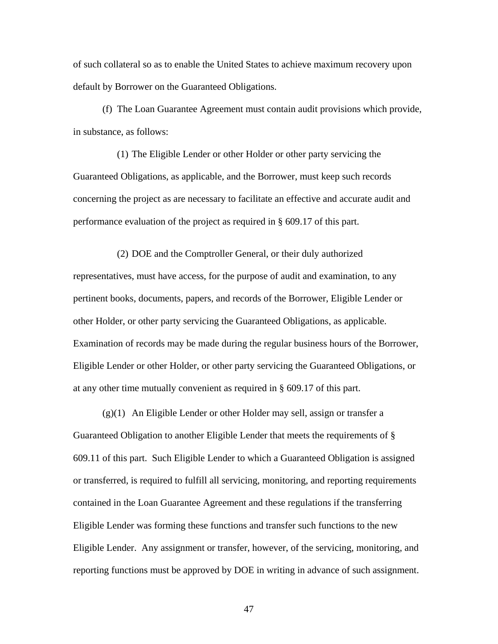of such collateral so as to enable the United States to achieve maximum recovery upon default by Borrower on the Guaranteed Obligations.

 (f) The Loan Guarantee Agreement must contain audit provisions which provide, in substance, as follows:

(1) The Eligible Lender or other Holder or other party servicing the Guaranteed Obligations, as applicable, and the Borrower, must keep such records concerning the project as are necessary to facilitate an effective and accurate audit and performance evaluation of the project as required in § 609.17 of this part.

(2) DOE and the Comptroller General, or their duly authorized representatives, must have access, for the purpose of audit and examination, to any pertinent books, documents, papers, and records of the Borrower, Eligible Lender or other Holder, or other party servicing the Guaranteed Obligations, as applicable. Examination of records may be made during the regular business hours of the Borrower, Eligible Lender or other Holder, or other party servicing the Guaranteed Obligations, or at any other time mutually convenient as required in § 609.17 of this part.

 $(g)(1)$  An Eligible Lender or other Holder may sell, assign or transfer a Guaranteed Obligation to another Eligible Lender that meets the requirements of § 609.11 of this part. Such Eligible Lender to which a Guaranteed Obligation is assigned or transferred, is required to fulfill all servicing, monitoring, and reporting requirements contained in the Loan Guarantee Agreement and these regulations if the transferring Eligible Lender was forming these functions and transfer such functions to the new Eligible Lender. Any assignment or transfer, however, of the servicing, monitoring, and reporting functions must be approved by DOE in writing in advance of such assignment.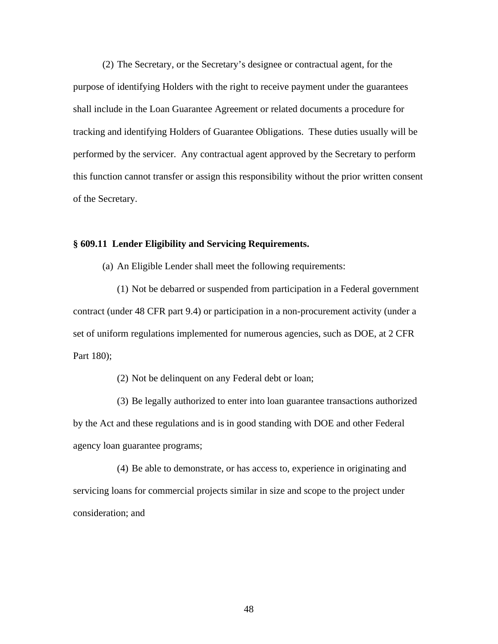(2) The Secretary, or the Secretary's designee or contractual agent, for the purpose of identifying Holders with the right to receive payment under the guarantees shall include in the Loan Guarantee Agreement or related documents a procedure for tracking and identifying Holders of Guarantee Obligations. These duties usually will be performed by the servicer. Any contractual agent approved by the Secretary to perform this function cannot transfer or assign this responsibility without the prior written consent of the Secretary.

### **§ 609.11 Lender Eligibility and Servicing Requirements.**

(a) An Eligible Lender shall meet the following requirements:

(1) Not be debarred or suspended from participation in a Federal government contract (under 48 CFR part 9.4) or participation in a non-procurement activity (under a set of uniform regulations implemented for numerous agencies, such as DOE, at 2 CFR Part 180);

(2) Not be delinquent on any Federal debt or loan;

(3) Be legally authorized to enter into loan guarantee transactions authorized by the Act and these regulations and is in good standing with DOE and other Federal agency loan guarantee programs;

(4) Be able to demonstrate, or has access to, experience in originating and servicing loans for commercial projects similar in size and scope to the project under consideration; and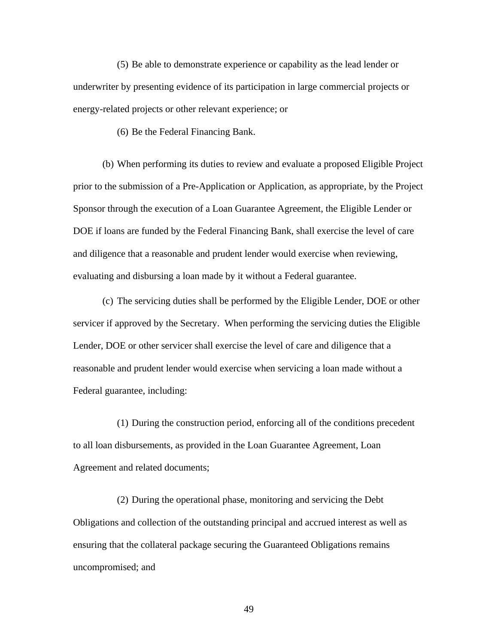(5) Be able to demonstrate experience or capability as the lead lender or underwriter by presenting evidence of its participation in large commercial projects or energy-related projects or other relevant experience; or

(6) Be the Federal Financing Bank.

(b) When performing its duties to review and evaluate a proposed Eligible Project prior to the submission of a Pre-Application or Application, as appropriate, by the Project Sponsor through the execution of a Loan Guarantee Agreement, the Eligible Lender or DOE if loans are funded by the Federal Financing Bank, shall exercise the level of care and diligence that a reasonable and prudent lender would exercise when reviewing, evaluating and disbursing a loan made by it without a Federal guarantee.

 (c) The servicing duties shall be performed by the Eligible Lender, DOE or other servicer if approved by the Secretary. When performing the servicing duties the Eligible Lender, DOE or other servicer shall exercise the level of care and diligence that a reasonable and prudent lender would exercise when servicing a loan made without a Federal guarantee, including:

(1) During the construction period, enforcing all of the conditions precedent to all loan disbursements, as provided in the Loan Guarantee Agreement, Loan Agreement and related documents;

(2) During the operational phase, monitoring and servicing the Debt Obligations and collection of the outstanding principal and accrued interest as well as ensuring that the collateral package securing the Guaranteed Obligations remains uncompromised; and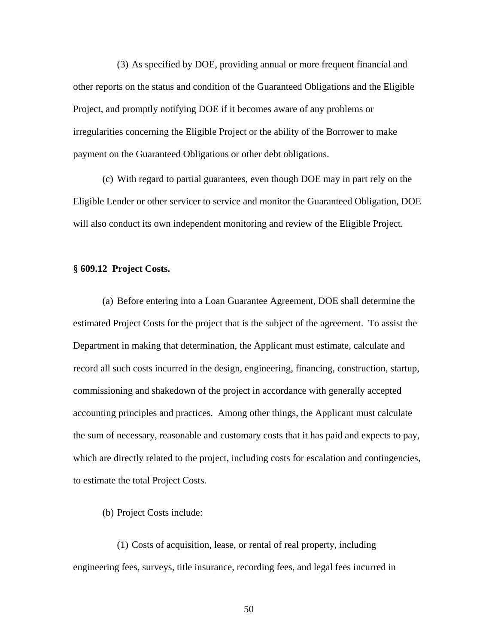(3) As specified by DOE, providing annual or more frequent financial and other reports on the status and condition of the Guaranteed Obligations and the Eligible Project, and promptly notifying DOE if it becomes aware of any problems or irregularities concerning the Eligible Project or the ability of the Borrower to make payment on the Guaranteed Obligations or other debt obligations.

(c) With regard to partial guarantees, even though DOE may in part rely on the Eligible Lender or other servicer to service and monitor the Guaranteed Obligation, DOE will also conduct its own independent monitoring and review of the Eligible Project.

# **§ 609.12 Project Costs.**

 (a) Before entering into a Loan Guarantee Agreement, DOE shall determine the estimated Project Costs for the project that is the subject of the agreement. To assist the Department in making that determination, the Applicant must estimate, calculate and record all such costs incurred in the design, engineering, financing, construction, startup, commissioning and shakedown of the project in accordance with generally accepted accounting principles and practices. Among other things, the Applicant must calculate the sum of necessary, reasonable and customary costs that it has paid and expects to pay, which are directly related to the project, including costs for escalation and contingencies, to estimate the total Project Costs.

(b) Project Costs include:

(1) Costs of acquisition, lease, or rental of real property, including engineering fees, surveys, title insurance, recording fees, and legal fees incurred in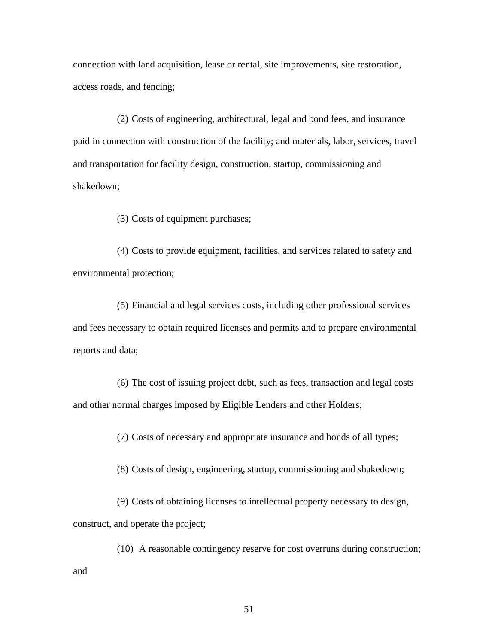connection with land acquisition, lease or rental, site improvements, site restoration, access roads, and fencing;

(2) Costs of engineering, architectural, legal and bond fees, and insurance paid in connection with construction of the facility; and materials, labor, services, travel and transportation for facility design, construction, startup, commissioning and shakedown;

(3) Costs of equipment purchases;

(4) Costs to provide equipment, facilities, and services related to safety and environmental protection;

(5) Financial and legal services costs, including other professional services and fees necessary to obtain required licenses and permits and to prepare environmental reports and data;

(6) The cost of issuing project debt, such as fees, transaction and legal costs and other normal charges imposed by Eligible Lenders and other Holders;

(7) Costs of necessary and appropriate insurance and bonds of all types;

(8) Costs of design, engineering, startup, commissioning and shakedown;

(9) Costs of obtaining licenses to intellectual property necessary to design, construct, and operate the project;

(10) A reasonable contingency reserve for cost overruns during construction; and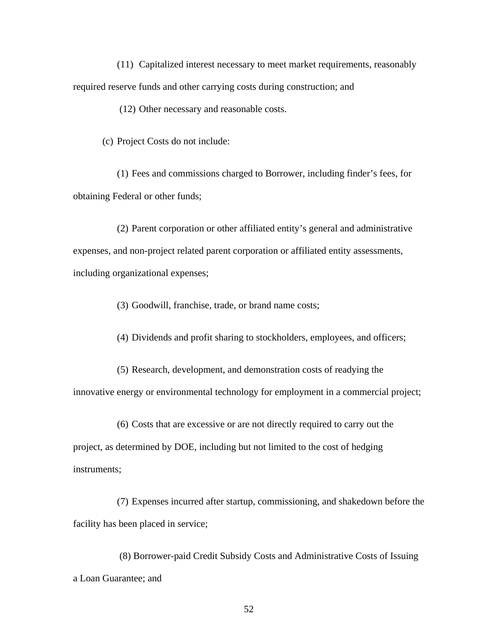(11) Capitalized interest necessary to meet market requirements, reasonably required reserve funds and other carrying costs during construction; and

(12) Other necessary and reasonable costs.

(c) Project Costs do not include:

(1) Fees and commissions charged to Borrower, including finder's fees, for obtaining Federal or other funds;

(2) Parent corporation or other affiliated entity's general and administrative expenses, and non-project related parent corporation or affiliated entity assessments, including organizational expenses;

(3) Goodwill, franchise, trade, or brand name costs;

(4) Dividends and profit sharing to stockholders, employees, and officers;

(5) Research, development, and demonstration costs of readying the innovative energy or environmental technology for employment in a commercial project;

(6) Costs that are excessive or are not directly required to carry out the project, as determined by DOE, including but not limited to the cost of hedging instruments;

(7) Expenses incurred after startup, commissioning, and shakedown before the facility has been placed in service;

 (8) Borrower-paid Credit Subsidy Costs and Administrative Costs of Issuing a Loan Guarantee; and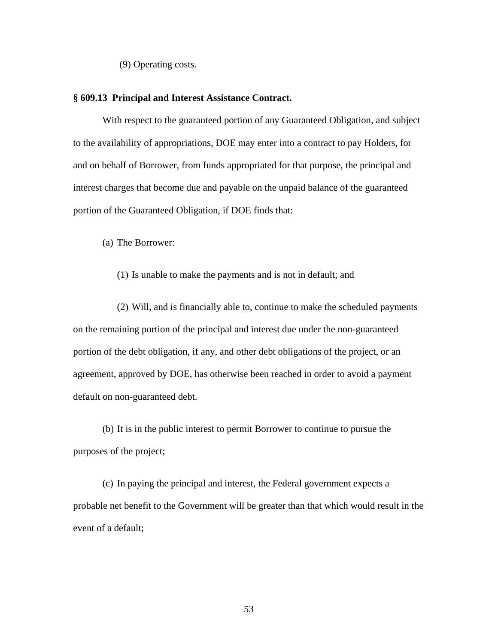(9) Operating costs.

### **§ 609.13 Principal and Interest Assistance Contract.**

With respect to the guaranteed portion of any Guaranteed Obligation, and subject to the availability of appropriations, DOE may enter into a contract to pay Holders, for and on behalf of Borrower, from funds appropriated for that purpose, the principal and interest charges that become due and payable on the unpaid balance of the guaranteed portion of the Guaranteed Obligation, if DOE finds that:

(a) The Borrower:

## (1) Is unable to make the payments and is not in default; and

(2) Will, and is financially able to, continue to make the scheduled payments on the remaining portion of the principal and interest due under the non-guaranteed portion of the debt obligation, if any, and other debt obligations of the project, or an agreement, approved by DOE, has otherwise been reached in order to avoid a payment default on non-guaranteed debt.

 (b) It is in the public interest to permit Borrower to continue to pursue the purposes of the project;

 (c) In paying the principal and interest, the Federal government expects a probable net benefit to the Government will be greater than that which would result in the event of a default;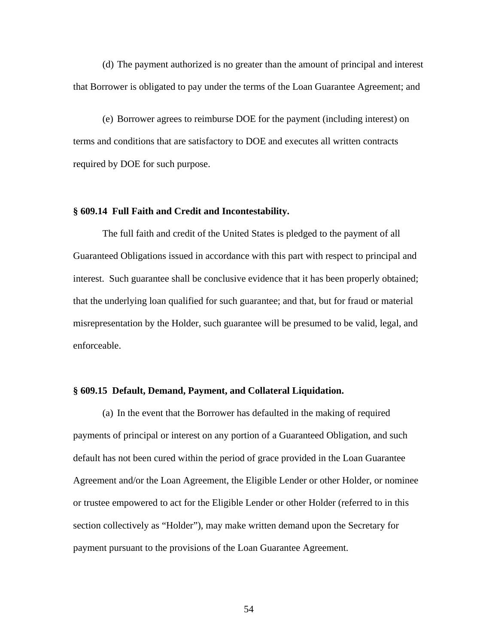(d) The payment authorized is no greater than the amount of principal and interest that Borrower is obligated to pay under the terms of the Loan Guarantee Agreement; and

 (e) Borrower agrees to reimburse DOE for the payment (including interest) on terms and conditions that are satisfactory to DOE and executes all written contracts required by DOE for such purpose.

# **§ 609.14 Full Faith and Credit and Incontestability.**

The full faith and credit of the United States is pledged to the payment of all Guaranteed Obligations issued in accordance with this part with respect to principal and interest. Such guarantee shall be conclusive evidence that it has been properly obtained; that the underlying loan qualified for such guarantee; and that, but for fraud or material misrepresentation by the Holder, such guarantee will be presumed to be valid, legal, and enforceable.

# **§ 609.15 Default, Demand, Payment, and Collateral Liquidation.**

 (a) In the event that the Borrower has defaulted in the making of required payments of principal or interest on any portion of a Guaranteed Obligation, and such default has not been cured within the period of grace provided in the Loan Guarantee Agreement and/or the Loan Agreement, the Eligible Lender or other Holder, or nominee or trustee empowered to act for the Eligible Lender or other Holder (referred to in this section collectively as "Holder"), may make written demand upon the Secretary for payment pursuant to the provisions of the Loan Guarantee Agreement.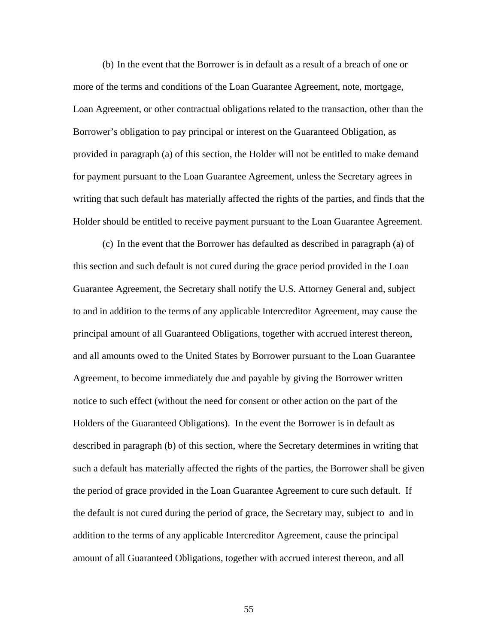(b) In the event that the Borrower is in default as a result of a breach of one or more of the terms and conditions of the Loan Guarantee Agreement, note, mortgage, Loan Agreement, or other contractual obligations related to the transaction, other than the Borrower's obligation to pay principal or interest on the Guaranteed Obligation, as provided in paragraph (a) of this section, the Holder will not be entitled to make demand for payment pursuant to the Loan Guarantee Agreement, unless the Secretary agrees in writing that such default has materially affected the rights of the parties, and finds that the Holder should be entitled to receive payment pursuant to the Loan Guarantee Agreement.

 (c) In the event that the Borrower has defaulted as described in paragraph (a) of this section and such default is not cured during the grace period provided in the Loan Guarantee Agreement, the Secretary shall notify the U.S. Attorney General and, subject to and in addition to the terms of any applicable Intercreditor Agreement, may cause the principal amount of all Guaranteed Obligations, together with accrued interest thereon, and all amounts owed to the United States by Borrower pursuant to the Loan Guarantee Agreement, to become immediately due and payable by giving the Borrower written notice to such effect (without the need for consent or other action on the part of the Holders of the Guaranteed Obligations). In the event the Borrower is in default as described in paragraph (b) of this section, where the Secretary determines in writing that such a default has materially affected the rights of the parties, the Borrower shall be given the period of grace provided in the Loan Guarantee Agreement to cure such default. If the default is not cured during the period of grace, the Secretary may, subject to and in addition to the terms of any applicable Intercreditor Agreement, cause the principal amount of all Guaranteed Obligations, together with accrued interest thereon, and all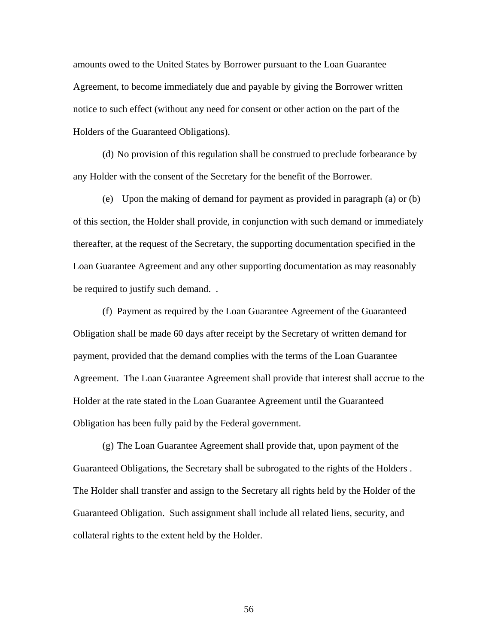amounts owed to the United States by Borrower pursuant to the Loan Guarantee Agreement, to become immediately due and payable by giving the Borrower written notice to such effect (without any need for consent or other action on the part of the Holders of the Guaranteed Obligations).

 (d) No provision of this regulation shall be construed to preclude forbearance by any Holder with the consent of the Secretary for the benefit of the Borrower.

 (e) Upon the making of demand for payment as provided in paragraph (a) or (b) of this section, the Holder shall provide, in conjunction with such demand or immediately thereafter, at the request of the Secretary, the supporting documentation specified in the Loan Guarantee Agreement and any other supporting documentation as may reasonably be required to justify such demand. .

 (f) Payment as required by the Loan Guarantee Agreement of the Guaranteed Obligation shall be made 60 days after receipt by the Secretary of written demand for payment, provided that the demand complies with the terms of the Loan Guarantee Agreement. The Loan Guarantee Agreement shall provide that interest shall accrue to the Holder at the rate stated in the Loan Guarantee Agreement until the Guaranteed Obligation has been fully paid by the Federal government.

 (g) The Loan Guarantee Agreement shall provide that, upon payment of the Guaranteed Obligations, the Secretary shall be subrogated to the rights of the Holders . The Holder shall transfer and assign to the Secretary all rights held by the Holder of the Guaranteed Obligation. Such assignment shall include all related liens, security, and collateral rights to the extent held by the Holder.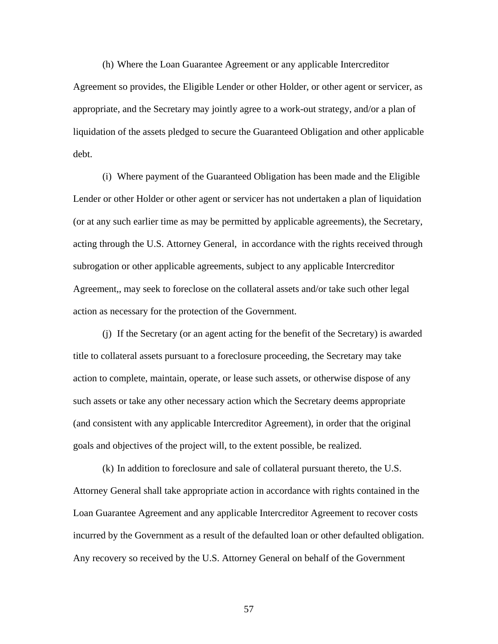(h) Where the Loan Guarantee Agreement or any applicable Intercreditor Agreement so provides, the Eligible Lender or other Holder, or other agent or servicer, as appropriate, and the Secretary may jointly agree to a work-out strategy, and/or a plan of liquidation of the assets pledged to secure the Guaranteed Obligation and other applicable debt.

 (i) Where payment of the Guaranteed Obligation has been made and the Eligible Lender or other Holder or other agent or servicer has not undertaken a plan of liquidation (or at any such earlier time as may be permitted by applicable agreements), the Secretary, acting through the U.S. Attorney General, in accordance with the rights received through subrogation or other applicable agreements, subject to any applicable Intercreditor Agreement,, may seek to foreclose on the collateral assets and/or take such other legal action as necessary for the protection of the Government.

 (j) If the Secretary (or an agent acting for the benefit of the Secretary) is awarded title to collateral assets pursuant to a foreclosure proceeding, the Secretary may take action to complete, maintain, operate, or lease such assets, or otherwise dispose of any such assets or take any other necessary action which the Secretary deems appropriate (and consistent with any applicable Intercreditor Agreement), in order that the original goals and objectives of the project will, to the extent possible, be realized.

 (k) In addition to foreclosure and sale of collateral pursuant thereto, the U.S. Attorney General shall take appropriate action in accordance with rights contained in the Loan Guarantee Agreement and any applicable Intercreditor Agreement to recover costs incurred by the Government as a result of the defaulted loan or other defaulted obligation. Any recovery so received by the U.S. Attorney General on behalf of the Government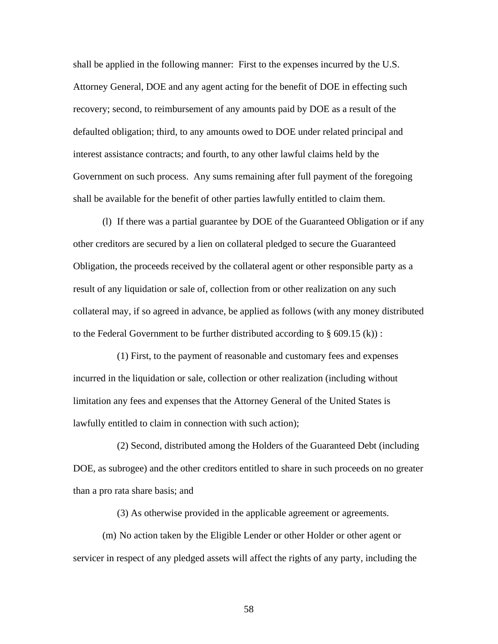shall be applied in the following manner: First to the expenses incurred by the U.S. Attorney General, DOE and any agent acting for the benefit of DOE in effecting such recovery; second, to reimbursement of any amounts paid by DOE as a result of the defaulted obligation; third, to any amounts owed to DOE under related principal and interest assistance contracts; and fourth, to any other lawful claims held by the Government on such process. Any sums remaining after full payment of the foregoing shall be available for the benefit of other parties lawfully entitled to claim them.

 (l) If there was a partial guarantee by DOE of the Guaranteed Obligation or if any other creditors are secured by a lien on collateral pledged to secure the Guaranteed Obligation, the proceeds received by the collateral agent or other responsible party as a result of any liquidation or sale of, collection from or other realization on any such collateral may, if so agreed in advance, be applied as follows (with any money distributed to the Federal Government to be further distributed according to  $\S$  609.15 (k)):

 (1) First, to the payment of reasonable and customary fees and expenses incurred in the liquidation or sale, collection or other realization (including without limitation any fees and expenses that the Attorney General of the United States is lawfully entitled to claim in connection with such action);

 (2) Second, distributed among the Holders of the Guaranteed Debt (including DOE, as subrogee) and the other creditors entitled to share in such proceeds on no greater than a pro rata share basis; and

(3) As otherwise provided in the applicable agreement or agreements.

 (m) No action taken by the Eligible Lender or other Holder or other agent or servicer in respect of any pledged assets will affect the rights of any party, including the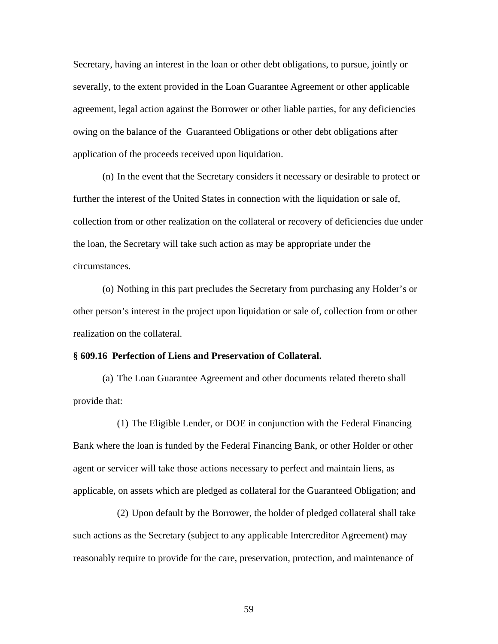Secretary, having an interest in the loan or other debt obligations, to pursue, jointly or severally, to the extent provided in the Loan Guarantee Agreement or other applicable agreement, legal action against the Borrower or other liable parties, for any deficiencies owing on the balance of the Guaranteed Obligations or other debt obligations after application of the proceeds received upon liquidation.

 (n) In the event that the Secretary considers it necessary or desirable to protect or further the interest of the United States in connection with the liquidation or sale of, collection from or other realization on the collateral or recovery of deficiencies due under the loan, the Secretary will take such action as may be appropriate under the circumstances.

 (o) Nothing in this part precludes the Secretary from purchasing any Holder's or other person's interest in the project upon liquidation or sale of, collection from or other realization on the collateral.

### **§ 609.16 Perfection of Liens and Preservation of Collateral.**

 (a) The Loan Guarantee Agreement and other documents related thereto shall provide that:

(1) The Eligible Lender, or DOE in conjunction with the Federal Financing Bank where the loan is funded by the Federal Financing Bank, or other Holder or other agent or servicer will take those actions necessary to perfect and maintain liens, as applicable, on assets which are pledged as collateral for the Guaranteed Obligation; and

(2) Upon default by the Borrower, the holder of pledged collateral shall take such actions as the Secretary (subject to any applicable Intercreditor Agreement) may reasonably require to provide for the care, preservation, protection, and maintenance of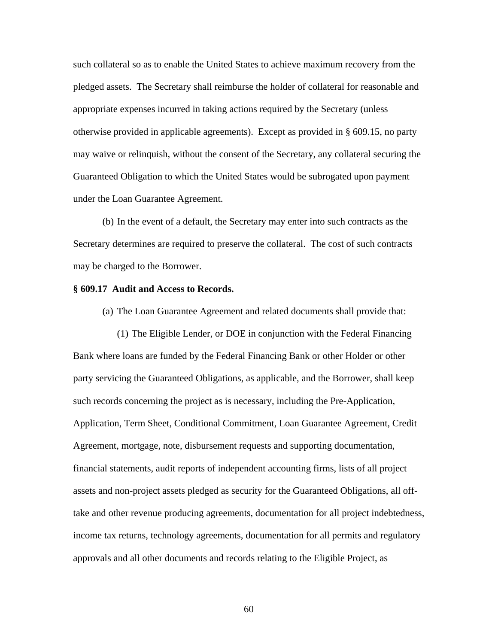such collateral so as to enable the United States to achieve maximum recovery from the pledged assets. The Secretary shall reimburse the holder of collateral for reasonable and appropriate expenses incurred in taking actions required by the Secretary (unless otherwise provided in applicable agreements). Except as provided in § 609.15, no party may waive or relinquish, without the consent of the Secretary, any collateral securing the Guaranteed Obligation to which the United States would be subrogated upon payment under the Loan Guarantee Agreement.

 (b) In the event of a default, the Secretary may enter into such contracts as the Secretary determines are required to preserve the collateral. The cost of such contracts may be charged to the Borrower.

### **§ 609.17 Audit and Access to Records.**

(a) The Loan Guarantee Agreement and related documents shall provide that:

(1) The Eligible Lender, or DOE in conjunction with the Federal Financing Bank where loans are funded by the Federal Financing Bank or other Holder or other party servicing the Guaranteed Obligations, as applicable, and the Borrower, shall keep such records concerning the project as is necessary, including the Pre-Application, Application, Term Sheet, Conditional Commitment, Loan Guarantee Agreement, Credit Agreement, mortgage, note, disbursement requests and supporting documentation, financial statements, audit reports of independent accounting firms, lists of all project assets and non-project assets pledged as security for the Guaranteed Obligations, all offtake and other revenue producing agreements, documentation for all project indebtedness, income tax returns, technology agreements, documentation for all permits and regulatory approvals and all other documents and records relating to the Eligible Project, as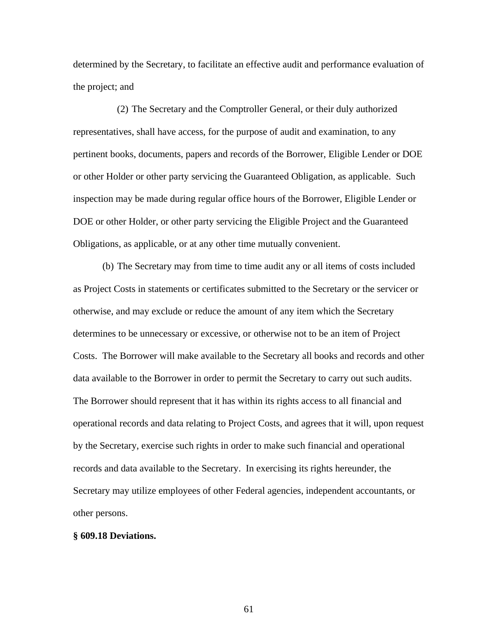determined by the Secretary, to facilitate an effective audit and performance evaluation of the project; and

(2) The Secretary and the Comptroller General, or their duly authorized representatives, shall have access, for the purpose of audit and examination, to any pertinent books, documents, papers and records of the Borrower, Eligible Lender or DOE or other Holder or other party servicing the Guaranteed Obligation, as applicable. Such inspection may be made during regular office hours of the Borrower, Eligible Lender or DOE or other Holder, or other party servicing the Eligible Project and the Guaranteed Obligations, as applicable, or at any other time mutually convenient.

 (b) The Secretary may from time to time audit any or all items of costs included as Project Costs in statements or certificates submitted to the Secretary or the servicer or otherwise, and may exclude or reduce the amount of any item which the Secretary determines to be unnecessary or excessive, or otherwise not to be an item of Project Costs. The Borrower will make available to the Secretary all books and records and other data available to the Borrower in order to permit the Secretary to carry out such audits. The Borrower should represent that it has within its rights access to all financial and operational records and data relating to Project Costs, and agrees that it will, upon request by the Secretary, exercise such rights in order to make such financial and operational records and data available to the Secretary. In exercising its rights hereunder, the Secretary may utilize employees of other Federal agencies, independent accountants, or other persons.

### **§ 609.18 Deviations.**